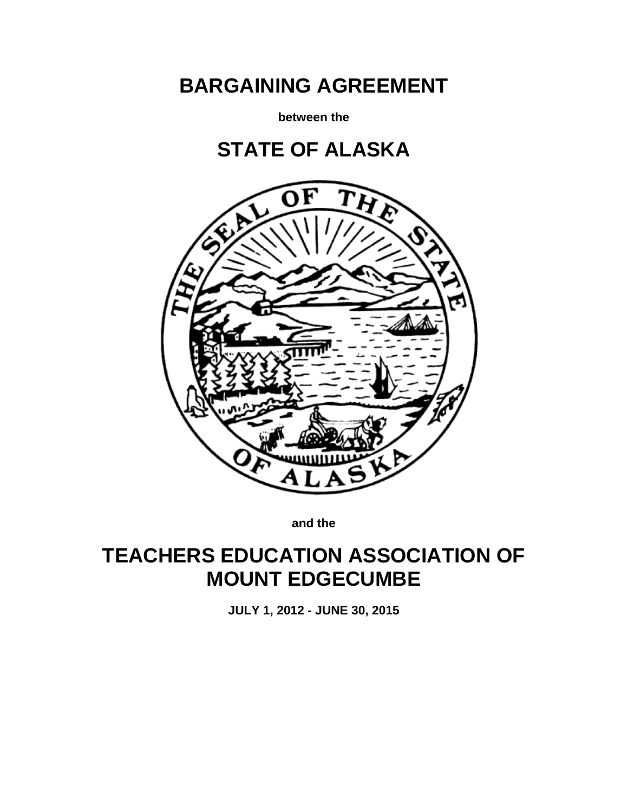# **BARGAINING AGREEMENT**

**between the**





**and the**

## **TEACHERS EDUCATION ASSOCIATION OF MOUNT EDGECUMBE**

**JULY 1, 2012 - JUNE 30, 2015**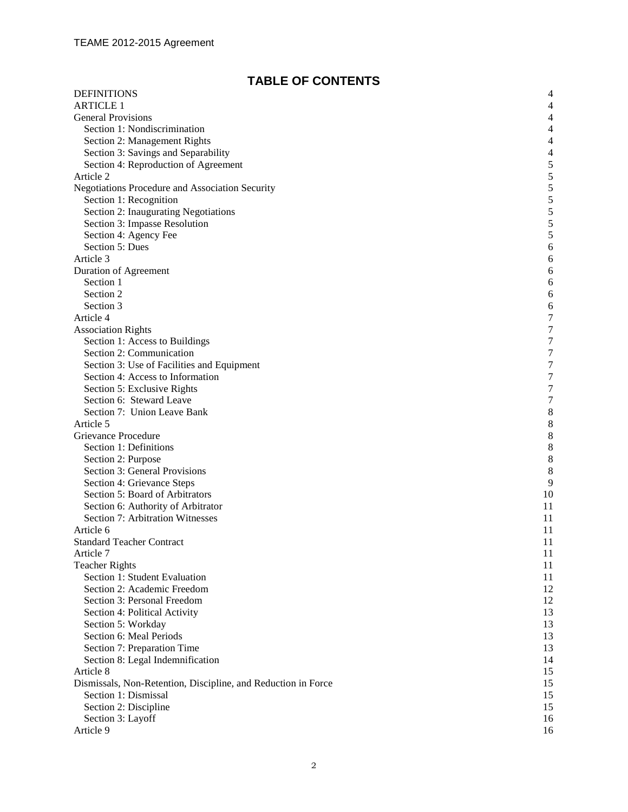## **TABLE OF CONTENTS**

| <b>DEFINITIONS</b>                                            | $\overline{4}$           |
|---------------------------------------------------------------|--------------------------|
| <b>ARTICLE 1</b>                                              | $\overline{\mathcal{L}}$ |
| <b>General Provisions</b>                                     | $\overline{\mathcal{L}}$ |
| Section 1: Nondiscrimination                                  | $\overline{\mathcal{A}}$ |
| Section 2: Management Rights                                  | $\overline{\mathcal{A}}$ |
| Section 3: Savings and Separability                           | $\overline{\mathcal{L}}$ |
| Section 4: Reproduction of Agreement                          | 5                        |
| Article 2                                                     | 5                        |
| Negotiations Procedure and Association Security               | 5                        |
| Section 1: Recognition                                        | 5                        |
| Section 2: Inaugurating Negotiations                          | 5                        |
| Section 3: Impasse Resolution                                 | 5                        |
| Section 4: Agency Fee                                         | 5                        |
| Section 5: Dues                                               | 6                        |
| Article 3                                                     | 6                        |
| Duration of Agreement                                         | 6                        |
| Section 1                                                     | 6                        |
| Section 2                                                     | 6                        |
| Section 3                                                     | 6                        |
| Article 4                                                     | 7                        |
| <b>Association Rights</b>                                     | 7                        |
| Section 1: Access to Buildings                                | 7                        |
| Section 2: Communication                                      | $\overline{7}$           |
| Section 3: Use of Facilities and Equipment                    | $\overline{7}$           |
| Section 4: Access to Information                              | $\overline{7}$           |
| Section 5: Exclusive Rights                                   | $\overline{7}$           |
| Section 6: Steward Leave                                      | 7                        |
| Section 7: Union Leave Bank                                   | 8                        |
| Article 5                                                     | 8                        |
| Grievance Procedure                                           | 8                        |
| Section 1: Definitions                                        | 8                        |
| Section 2: Purpose                                            | 8                        |
| Section 3: General Provisions                                 | 8                        |
| Section 4: Grievance Steps                                    | 9                        |
| Section 5: Board of Arbitrators                               | 10                       |
| Section 6: Authority of Arbitrator                            | 11                       |
| Section 7: Arbitration Witnesses                              | 11                       |
| Article 6                                                     | 11                       |
| <b>Standard Teacher Contract</b>                              | 11                       |
| Article 7                                                     | 11                       |
| <b>Teacher Rights</b>                                         | 11                       |
| Section 1: Student Evaluation                                 | 11                       |
| Section 2: Academic Freedom                                   | 12                       |
| Section 3: Personal Freedom                                   | 12                       |
| Section 4: Political Activity                                 | 13<br>13                 |
| Section 5: Workday<br>Section 6: Meal Periods                 | 13                       |
| Section 7: Preparation Time                                   | 13                       |
| Section 8: Legal Indemnification                              | 14                       |
| Article 8                                                     | 15                       |
| Dismissals, Non-Retention, Discipline, and Reduction in Force | 15                       |
| Section 1: Dismissal                                          | 15                       |
| Section 2: Discipline                                         | 15                       |
| Section 3: Layoff                                             | 16                       |
| Article 9                                                     | 16                       |
|                                                               |                          |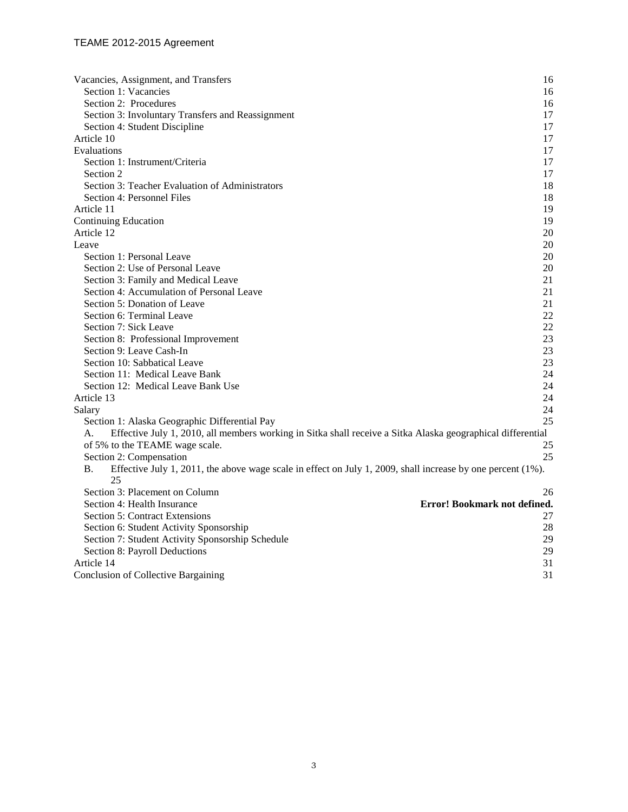| Vacancies, Assignment, and Transfers                                                                                               | 16     |
|------------------------------------------------------------------------------------------------------------------------------------|--------|
| Section 1: Vacancies                                                                                                               | 16     |
| Section 2: Procedures                                                                                                              | 16     |
| Section 3: Involuntary Transfers and Reassignment                                                                                  | 17     |
| Section 4: Student Discipline                                                                                                      | 17     |
| Article 10                                                                                                                         | 17     |
| Evaluations                                                                                                                        | 17     |
| Section 1: Instrument/Criteria                                                                                                     | 17     |
| Section 2                                                                                                                          | 17     |
| Section 3: Teacher Evaluation of Administrators                                                                                    | 18     |
| Section 4: Personnel Files                                                                                                         | 18     |
| Article 11                                                                                                                         | 19     |
| <b>Continuing Education</b>                                                                                                        | 19     |
| Article 12                                                                                                                         | 20     |
| Leave                                                                                                                              | $20\,$ |
| Section 1: Personal Leave                                                                                                          | 20     |
| Section 2: Use of Personal Leave                                                                                                   | 20     |
| Section 3: Family and Medical Leave                                                                                                | 21     |
| Section 4: Accumulation of Personal Leave                                                                                          | 21     |
| Section 5: Donation of Leave                                                                                                       | 21     |
| Section 6: Terminal Leave                                                                                                          | 22     |
| Section 7: Sick Leave                                                                                                              | 22     |
| Section 8: Professional Improvement                                                                                                | 23     |
| Section 9: Leave Cash-In                                                                                                           | 23     |
| Section 10: Sabbatical Leave                                                                                                       | 23     |
| Section 11: Medical Leave Bank                                                                                                     | 24     |
| Section 12: Medical Leave Bank Use                                                                                                 | 24     |
| Article 13                                                                                                                         | 24     |
| Salary                                                                                                                             | 24     |
| Section 1: Alaska Geographic Differential Pay                                                                                      | 25     |
| Effective July 1, 2010, all members working in Sitka shall receive a Sitka Alaska geographical differential<br>А.                  |        |
| of 5% to the TEAME wage scale.                                                                                                     | 25     |
| Section 2: Compensation                                                                                                            | 25     |
| <b>B.</b><br>Effective July 1, 2011, the above wage scale in effect on July 1, 2009, shall increase by one percent $(1\%)$ .<br>25 |        |
| Section 3: Placement on Column                                                                                                     | 26     |
| Error! Bookmark not defined.<br>Section 4: Health Insurance                                                                        |        |
| <b>Section 5: Contract Extensions</b>                                                                                              | 27     |
| Section 6: Student Activity Sponsorship                                                                                            | 28     |
| Section 7: Student Activity Sponsorship Schedule                                                                                   | 29     |
| Section 8: Payroll Deductions                                                                                                      | 29     |
| Article 14                                                                                                                         | 31     |
| <b>Conclusion of Collective Bargaining</b>                                                                                         | 31     |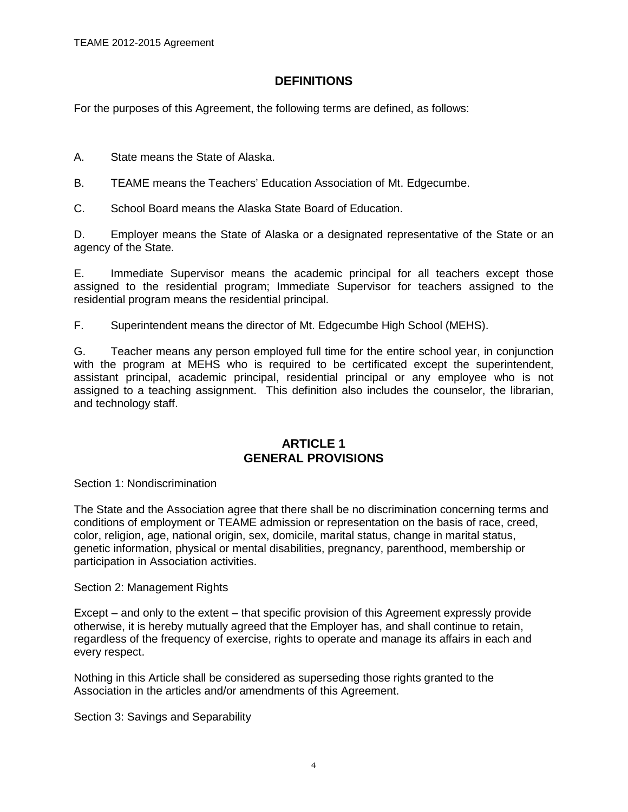## **DEFINITIONS**

<span id="page-3-0"></span>For the purposes of this Agreement, the following terms are defined, as follows:

A. State means the State of Alaska.

B. TEAME means the Teachers' Education Association of Mt. Edgecumbe.

C. School Board means the Alaska State Board of Education.

D. Employer means the State of Alaska or a designated representative of the State or an agency of the State.

E. Immediate Supervisor means the academic principal for all teachers except those assigned to the residential program; Immediate Supervisor for teachers assigned to the residential program means the residential principal.

F. Superintendent means the director of Mt. Edgecumbe High School (MEHS).

G. Teacher means any person employed full time for the entire school year, in conjunction with the program at MEHS who is required to be certificated except the superintendent, assistant principal, academic principal, residential principal or any employee who is not assigned to a teaching assignment. This definition also includes the counselor, the librarian, and technology staff.

## **ARTICLE 1 GENERAL PROVISIONS**

<span id="page-3-3"></span><span id="page-3-2"></span><span id="page-3-1"></span>Section 1: Nondiscrimination

The State and the Association agree that there shall be no discrimination concerning terms and conditions of employment or TEAME admission or representation on the basis of race, creed, color, religion, age, national origin, sex, domicile, marital status, change in marital status, genetic information, physical or mental disabilities, pregnancy, parenthood, membership or participation in Association activities.

<span id="page-3-4"></span>Section 2: Management Rights

Except – and only to the extent – that specific provision of this Agreement expressly provide otherwise, it is hereby mutually agreed that the Employer has, and shall continue to retain, regardless of the frequency of exercise, rights to operate and manage its affairs in each and every respect.

Nothing in this Article shall be considered as superseding those rights granted to the Association in the articles and/or amendments of this Agreement.

<span id="page-3-5"></span>Section 3: Savings and Separability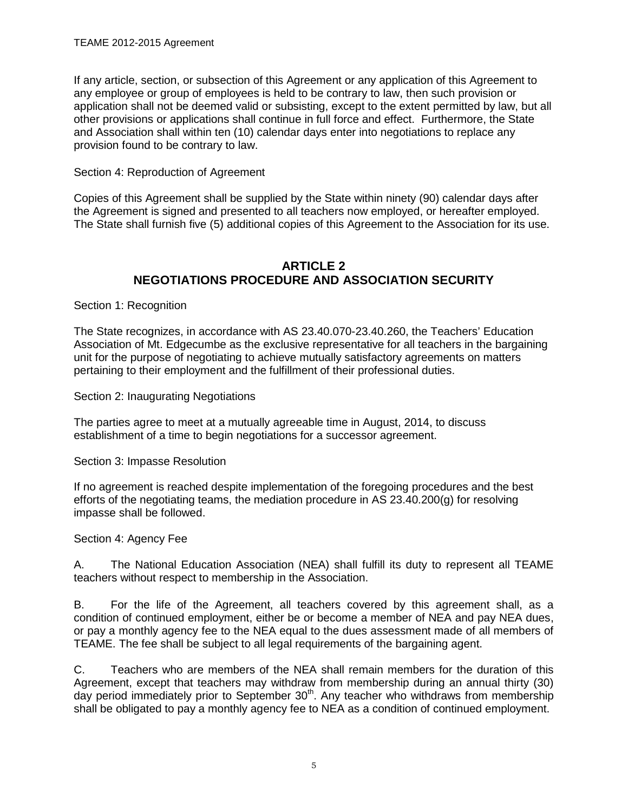If any article, section, or subsection of this Agreement or any application of this Agreement to any employee or group of employees is held to be contrary to law, then such provision or application shall not be deemed valid or subsisting, except to the extent permitted by law, but all other provisions or applications shall continue in full force and effect. Furthermore, the State and Association shall within ten (10) calendar days enter into negotiations to replace any provision found to be contrary to law.

<span id="page-4-0"></span>Section 4: Reproduction of Agreement

Copies of this Agreement shall be supplied by the State within ninety (90) calendar days after the Agreement is signed and presented to all teachers now employed, or hereafter employed. The State shall furnish five (5) additional copies of this Agreement to the Association for its use.

## **ARTICLE 2 NEGOTIATIONS PROCEDURE AND ASSOCIATION SECURITY**

<span id="page-4-3"></span><span id="page-4-2"></span><span id="page-4-1"></span>Section 1: Recognition

The State recognizes, in accordance with AS 23.40.070-23.40.260, the Teachers' Education Association of Mt. Edgecumbe as the exclusive representative for all teachers in the bargaining unit for the purpose of negotiating to achieve mutually satisfactory agreements on matters pertaining to their employment and the fulfillment of their professional duties.

<span id="page-4-4"></span>Section 2: Inaugurating Negotiations

The parties agree to meet at a mutually agreeable time in August, 2014, to discuss establishment of a time to begin negotiations for a successor agreement.

<span id="page-4-5"></span>Section 3: Impasse Resolution

If no agreement is reached despite implementation of the foregoing procedures and the best efforts of the negotiating teams, the mediation procedure in AS 23.40.200(g) for resolving impasse shall be followed.

## <span id="page-4-6"></span>Section 4: Agency Fee

A. The National Education Association (NEA) shall fulfill its duty to represent all TEAME teachers without respect to membership in the Association.

B. For the life of the Agreement, all teachers covered by this agreement shall, as a condition of continued employment, either be or become a member of NEA and pay NEA dues, or pay a monthly agency fee to the NEA equal to the dues assessment made of all members of TEAME. The fee shall be subject to all legal requirements of the bargaining agent.

C. Teachers who are members of the NEA shall remain members for the duration of this Agreement, except that teachers may withdraw from membership during an annual thirty (30) day period immediately prior to September 30<sup>th</sup>. Any teacher who withdraws from membership shall be obligated to pay a monthly agency fee to NEA as a condition of continued employment.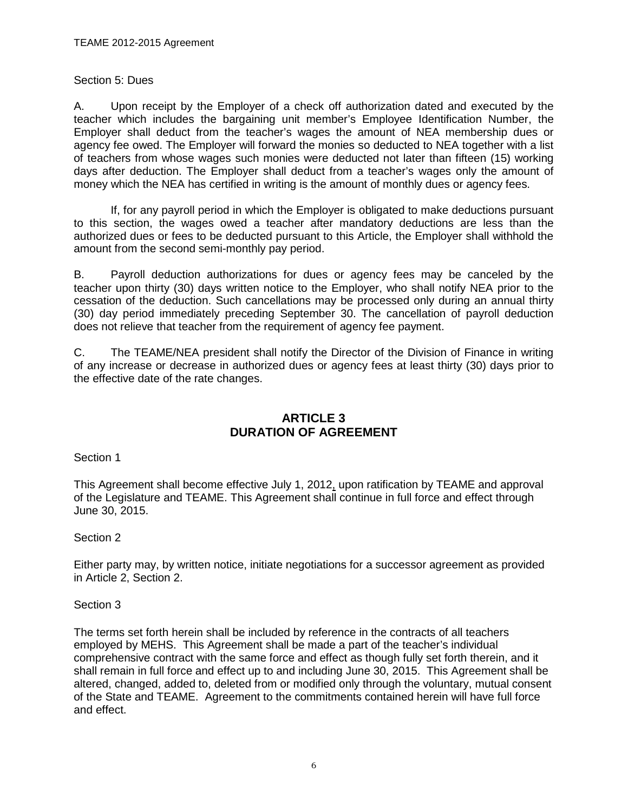#### <span id="page-5-0"></span>Section 5: Dues

A. Upon receipt by the Employer of a check off authorization dated and executed by the teacher which includes the bargaining unit member's Employee Identification Number, the Employer shall deduct from the teacher's wages the amount of NEA membership dues or agency fee owed. The Employer will forward the monies so deducted to NEA together with a list of teachers from whose wages such monies were deducted not later than fifteen (15) working days after deduction. The Employer shall deduct from a teacher's wages only the amount of money which the NEA has certified in writing is the amount of monthly dues or agency fees.

If, for any payroll period in which the Employer is obligated to make deductions pursuant to this section, the wages owed a teacher after mandatory deductions are less than the authorized dues or fees to be deducted pursuant to this Article, the Employer shall withhold the amount from the second semi-monthly pay period.

B. Payroll deduction authorizations for dues or agency fees may be canceled by the teacher upon thirty (30) days written notice to the Employer, who shall notify NEA prior to the cessation of the deduction. Such cancellations may be processed only during an annual thirty (30) day period immediately preceding September 30. The cancellation of payroll deduction does not relieve that teacher from the requirement of agency fee payment.

C. The TEAME/NEA president shall notify the Director of the Division of Finance in writing of any increase or decrease in authorized dues or agency fees at least thirty (30) days prior to the effective date of the rate changes.

## **ARTICLE 3 DURATION OF AGREEMENT**

<span id="page-5-3"></span><span id="page-5-2"></span><span id="page-5-1"></span>Section 1

This Agreement shall become effective July 1, 2012, upon ratification by TEAME and approval of the Legislature and TEAME. This Agreement shall continue in full force and effect through June 30, 2015.

## <span id="page-5-4"></span>Section 2

Either party may, by written notice, initiate negotiations for a successor agreement as provided in Article 2, Section 2.

## <span id="page-5-5"></span>Section 3

The terms set forth herein shall be included by reference in the contracts of all teachers employed by MEHS. This Agreement shall be made a part of the teacher's individual comprehensive contract with the same force and effect as though fully set forth therein, and it shall remain in full force and effect up to and including June 30, 2015. This Agreement shall be altered, changed, added to, deleted from or modified only through the voluntary, mutual consent of the State and TEAME. Agreement to the commitments contained herein will have full force and effect.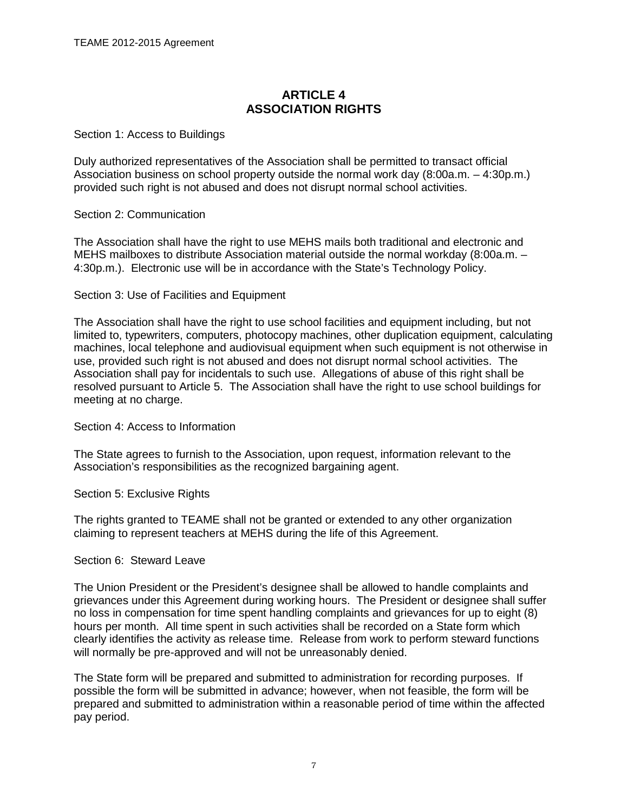## **ARTICLE 4 ASSOCIATION RIGHTS**

#### <span id="page-6-2"></span><span id="page-6-1"></span><span id="page-6-0"></span>Section 1: Access to Buildings

Duly authorized representatives of the Association shall be permitted to transact official Association business on school property outside the normal work day (8:00a.m. – 4:30p.m.) provided such right is not abused and does not disrupt normal school activities.

#### <span id="page-6-3"></span>Section 2: Communication

The Association shall have the right to use MEHS mails both traditional and electronic and MEHS mailboxes to distribute Association material outside the normal workday (8:00a.m. – 4:30p.m.). Electronic use will be in accordance with the State's Technology Policy.

#### <span id="page-6-4"></span>Section 3: Use of Facilities and Equipment

The Association shall have the right to use school facilities and equipment including, but not limited to, typewriters, computers, photocopy machines, other duplication equipment, calculating machines, local telephone and audiovisual equipment when such equipment is not otherwise in use, provided such right is not abused and does not disrupt normal school activities. The Association shall pay for incidentals to such use. Allegations of abuse of this right shall be resolved pursuant to Article 5. The Association shall have the right to use school buildings for meeting at no charge.

<span id="page-6-5"></span>Section 4: Access to Information

The State agrees to furnish to the Association, upon request, information relevant to the Association's responsibilities as the recognized bargaining agent.

<span id="page-6-6"></span>Section 5: Exclusive Rights

The rights granted to TEAME shall not be granted or extended to any other organization claiming to represent teachers at MEHS during the life of this Agreement.

#### <span id="page-6-7"></span>Section 6: Steward Leave

The Union President or the President's designee shall be allowed to handle complaints and grievances under this Agreement during working hours. The President or designee shall suffer no loss in compensation for time spent handling complaints and grievances for up to eight (8) hours per month. All time spent in such activities shall be recorded on a State form which clearly identifies the activity as release time. Release from work to perform steward functions will normally be pre-approved and will not be unreasonably denied.

The State form will be prepared and submitted to administration for recording purposes. If possible the form will be submitted in advance; however, when not feasible, the form will be prepared and submitted to administration within a reasonable period of time within the affected pay period.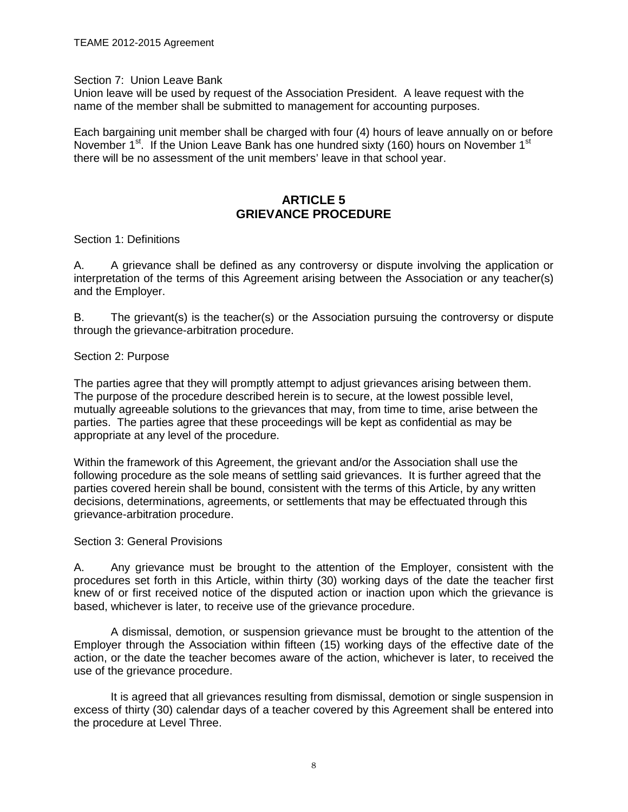#### <span id="page-7-0"></span>Section 7: Union Leave Bank

Union leave will be used by request of the Association President. A leave request with the name of the member shall be submitted to management for accounting purposes.

Each bargaining unit member shall be charged with four (4) hours of leave annually on or before November  $1<sup>st</sup>$ . If the Union Leave Bank has one hundred sixty (160) hours on November  $1<sup>st</sup>$ there will be no assessment of the unit members' leave in that school year.

## **ARTICLE 5 GRIEVANCE PROCEDURE**

<span id="page-7-3"></span><span id="page-7-2"></span><span id="page-7-1"></span>Section 1: Definitions

A. A grievance shall be defined as any controversy or dispute involving the application or interpretation of the terms of this Agreement arising between the Association or any teacher(s) and the Employer.

B. The grievant(s) is the teacher(s) or the Association pursuing the controversy or dispute through the grievance-arbitration procedure.

#### <span id="page-7-4"></span>Section 2: Purpose

The parties agree that they will promptly attempt to adjust grievances arising between them. The purpose of the procedure described herein is to secure, at the lowest possible level, mutually agreeable solutions to the grievances that may, from time to time, arise between the parties. The parties agree that these proceedings will be kept as confidential as may be appropriate at any level of the procedure.

Within the framework of this Agreement, the grievant and/or the Association shall use the following procedure as the sole means of settling said grievances. It is further agreed that the parties covered herein shall be bound, consistent with the terms of this Article, by any written decisions, determinations, agreements, or settlements that may be effectuated through this grievance-arbitration procedure.

#### <span id="page-7-5"></span>Section 3: General Provisions

A. Any grievance must be brought to the attention of the Employer, consistent with the procedures set forth in this Article, within thirty (30) working days of the date the teacher first knew of or first received notice of the disputed action or inaction upon which the grievance is based, whichever is later, to receive use of the grievance procedure.

A dismissal, demotion, or suspension grievance must be brought to the attention of the Employer through the Association within fifteen (15) working days of the effective date of the action, or the date the teacher becomes aware of the action, whichever is later, to received the use of the grievance procedure.

It is agreed that all grievances resulting from dismissal, demotion or single suspension in excess of thirty (30) calendar days of a teacher covered by this Agreement shall be entered into the procedure at Level Three.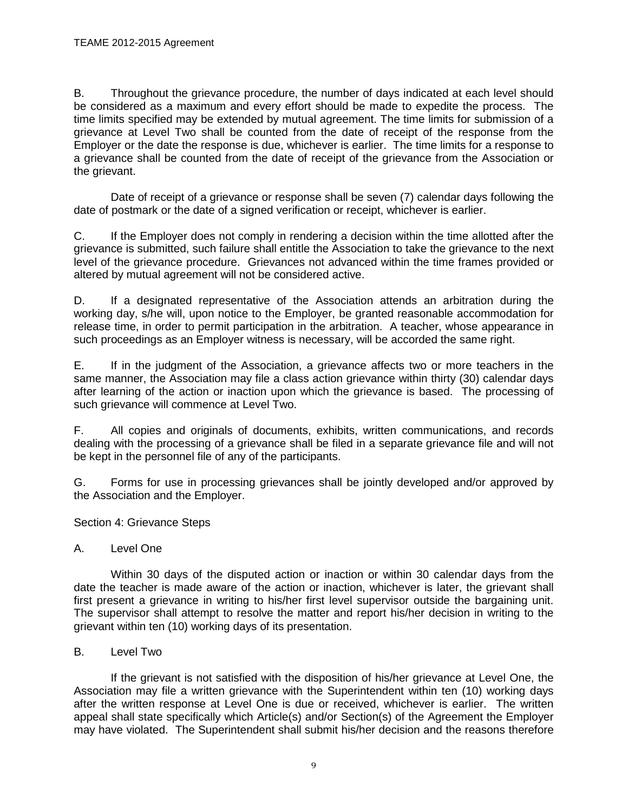B. Throughout the grievance procedure, the number of days indicated at each level should be considered as a maximum and every effort should be made to expedite the process. The time limits specified may be extended by mutual agreement. The time limits for submission of a grievance at Level Two shall be counted from the date of receipt of the response from the Employer or the date the response is due, whichever is earlier. The time limits for a response to a grievance shall be counted from the date of receipt of the grievance from the Association or the grievant.

Date of receipt of a grievance or response shall be seven (7) calendar days following the date of postmark or the date of a signed verification or receipt, whichever is earlier.

C. If the Employer does not comply in rendering a decision within the time allotted after the grievance is submitted, such failure shall entitle the Association to take the grievance to the next level of the grievance procedure. Grievances not advanced within the time frames provided or altered by mutual agreement will not be considered active.

D. If a designated representative of the Association attends an arbitration during the working day, s/he will, upon notice to the Employer, be granted reasonable accommodation for release time, in order to permit participation in the arbitration. A teacher, whose appearance in such proceedings as an Employer witness is necessary, will be accorded the same right.

E. If in the judgment of the Association, a grievance affects two or more teachers in the same manner, the Association may file a class action grievance within thirty (30) calendar days after learning of the action or inaction upon which the grievance is based. The processing of such grievance will commence at Level Two.

F. All copies and originals of documents, exhibits, written communications, and records dealing with the processing of a grievance shall be filed in a separate grievance file and will not be kept in the personnel file of any of the participants.

G. Forms for use in processing grievances shall be jointly developed and/or approved by the Association and the Employer.

<span id="page-8-0"></span>Section 4: Grievance Steps

## A. Level One

Within 30 days of the disputed action or inaction or within 30 calendar days from the date the teacher is made aware of the action or inaction, whichever is later, the grievant shall first present a grievance in writing to his/her first level supervisor outside the bargaining unit. The supervisor shall attempt to resolve the matter and report his/her decision in writing to the grievant within ten (10) working days of its presentation.

## B. Level Two

If the grievant is not satisfied with the disposition of his/her grievance at Level One, the Association may file a written grievance with the Superintendent within ten (10) working days after the written response at Level One is due or received, whichever is earlier. The written appeal shall state specifically which Article(s) and/or Section(s) of the Agreement the Employer may have violated. The Superintendent shall submit his/her decision and the reasons therefore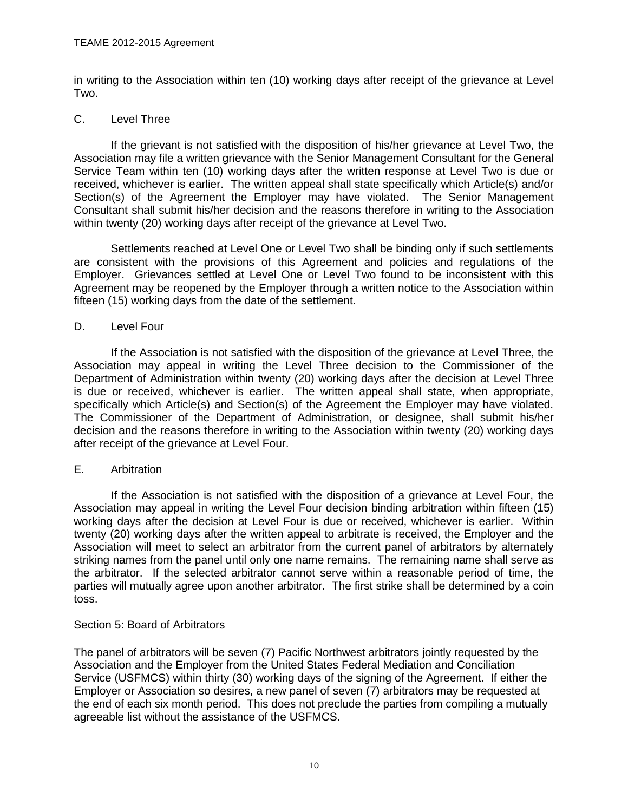in writing to the Association within ten (10) working days after receipt of the grievance at Level Two.

## C. Level Three

If the grievant is not satisfied with the disposition of his/her grievance at Level Two, the Association may file a written grievance with the Senior Management Consultant for the General Service Team within ten (10) working days after the written response at Level Two is due or received, whichever is earlier. The written appeal shall state specifically which Article(s) and/or Section(s) of the Agreement the Employer may have violated. The Senior Management Consultant shall submit his/her decision and the reasons therefore in writing to the Association within twenty (20) working days after receipt of the grievance at Level Two.

Settlements reached at Level One or Level Two shall be binding only if such settlements are consistent with the provisions of this Agreement and policies and regulations of the Employer. Grievances settled at Level One or Level Two found to be inconsistent with this Agreement may be reopened by the Employer through a written notice to the Association within fifteen (15) working days from the date of the settlement.

#### D. Level Four

If the Association is not satisfied with the disposition of the grievance at Level Three, the Association may appeal in writing the Level Three decision to the Commissioner of the Department of Administration within twenty (20) working days after the decision at Level Three is due or received, whichever is earlier. The written appeal shall state, when appropriate, specifically which Article(s) and Section(s) of the Agreement the Employer may have violated. The Commissioner of the Department of Administration, or designee, shall submit his/her decision and the reasons therefore in writing to the Association within twenty (20) working days after receipt of the grievance at Level Four.

## E. Arbitration

If the Association is not satisfied with the disposition of a grievance at Level Four, the Association may appeal in writing the Level Four decision binding arbitration within fifteen (15) working days after the decision at Level Four is due or received, whichever is earlier. Within twenty (20) working days after the written appeal to arbitrate is received, the Employer and the Association will meet to select an arbitrator from the current panel of arbitrators by alternately striking names from the panel until only one name remains. The remaining name shall serve as the arbitrator. If the selected arbitrator cannot serve within a reasonable period of time, the parties will mutually agree upon another arbitrator. The first strike shall be determined by a coin toss.

#### <span id="page-9-0"></span>Section 5: Board of Arbitrators

The panel of arbitrators will be seven (7) Pacific Northwest arbitrators jointly requested by the Association and the Employer from the United States Federal Mediation and Conciliation Service (USFMCS) within thirty (30) working days of the signing of the Agreement. If either the Employer or Association so desires, a new panel of seven (7) arbitrators may be requested at the end of each six month period. This does not preclude the parties from compiling a mutually agreeable list without the assistance of the USFMCS.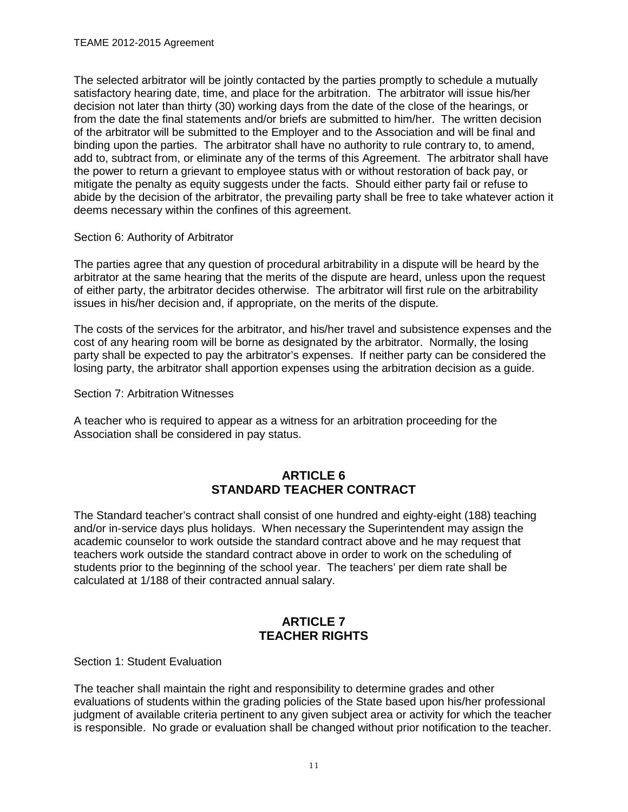The selected arbitrator will be jointly contacted by the parties promptly to schedule a mutually satisfactory hearing date, time, and place for the arbitration. The arbitrator will issue his/her decision not later than thirty (30) working days from the date of the close of the hearings, or from the date the final statements and/or briefs are submitted to him/her. The written decision of the arbitrator will be submitted to the Employer and to the Association and will be final and binding upon the parties. The arbitrator shall have no authority to rule contrary to, to amend, add to, subtract from, or eliminate any of the terms of this Agreement. The arbitrator shall have the power to return a grievant to employee status with or without restoration of back pay, or mitigate the penalty as equity suggests under the facts. Should either party fail or refuse to abide by the decision of the arbitrator, the prevailing party shall be free to take whatever action it deems necessary within the confines of this agreement.

<span id="page-10-0"></span>Section 6: Authority of Arbitrator

The parties agree that any question of procedural arbitrability in a dispute will be heard by the arbitrator at the same hearing that the merits of the dispute are heard, unless upon the request of either party, the arbitrator decides otherwise. The arbitrator will first rule on the arbitrability issues in his/her decision and, if appropriate, on the merits of the dispute.

The costs of the services for the arbitrator, and his/her travel and subsistence expenses and the cost of any hearing room will be borne as designated by the arbitrator. Normally, the losing party shall be expected to pay the arbitrator's expenses. If neither party can be considered the losing party, the arbitrator shall apportion expenses using the arbitration decision as a guide.

<span id="page-10-1"></span>Section 7: Arbitration Witnesses

A teacher who is required to appear as a witness for an arbitration proceeding for the Association shall be considered in pay status.

## **ARTICLE 6 STANDARD TEACHER CONTRACT**

<span id="page-10-3"></span><span id="page-10-2"></span>The Standard teacher's contract shall consist of one hundred and eighty-eight (188) teaching and/or in-service days plus holidays. When necessary the Superintendent may assign the academic counselor to work outside the standard contract above and he may request that teachers work outside the standard contract above in order to work on the scheduling of students prior to the beginning of the school year. The teachers' per diem rate shall be calculated at 1/188 of their contracted annual salary.

## **ARTICLE 7 TEACHER RIGHTS**

<span id="page-10-6"></span><span id="page-10-5"></span><span id="page-10-4"></span>Section 1: Student Evaluation

The teacher shall maintain the right and responsibility to determine grades and other evaluations of students within the grading policies of the State based upon his/her professional judgment of available criteria pertinent to any given subject area or activity for which the teacher is responsible. No grade or evaluation shall be changed without prior notification to the teacher.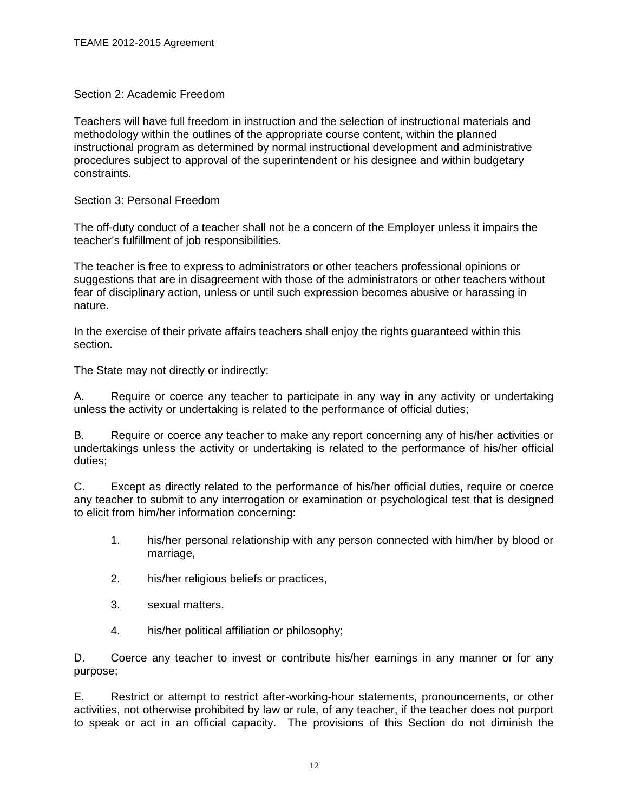## <span id="page-11-0"></span>Section 2: Academic Freedom

Teachers will have full freedom in instruction and the selection of instructional materials and methodology within the outlines of the appropriate course content, within the planned instructional program as determined by normal instructional development and administrative procedures subject to approval of the superintendent or his designee and within budgetary constraints.

<span id="page-11-1"></span>Section 3: Personal Freedom

The off-duty conduct of a teacher shall not be a concern of the Employer unless it impairs the teacher's fulfillment of job responsibilities.

The teacher is free to express to administrators or other teachers professional opinions or suggestions that are in disagreement with those of the administrators or other teachers without fear of disciplinary action, unless or until such expression becomes abusive or harassing in nature.

In the exercise of their private affairs teachers shall enjoy the rights guaranteed within this section.

The State may not directly or indirectly:

A. Require or coerce any teacher to participate in any way in any activity or undertaking unless the activity or undertaking is related to the performance of official duties;

B. Require or coerce any teacher to make any report concerning any of his/her activities or undertakings unless the activity or undertaking is related to the performance of his/her official duties;

C. Except as directly related to the performance of his/her official duties, require or coerce any teacher to submit to any interrogation or examination or psychological test that is designed to elicit from him/her information concerning:

- 1. his/her personal relationship with any person connected with him/her by blood or marriage,
- 2. his/her religious beliefs or practices,
- 3. sexual matters,
- 4. his/her political affiliation or philosophy;

D. Coerce any teacher to invest or contribute his/her earnings in any manner or for any purpose;

E. Restrict or attempt to restrict after-working-hour statements, pronouncements, or other activities, not otherwise prohibited by law or rule, of any teacher, if the teacher does not purport to speak or act in an official capacity. The provisions of this Section do not diminish the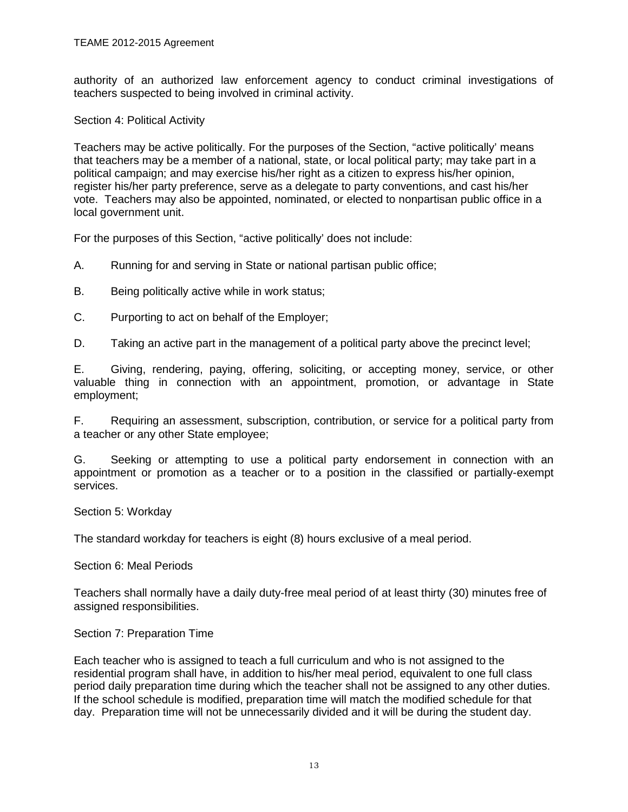authority of an authorized law enforcement agency to conduct criminal investigations of teachers suspected to being involved in criminal activity.

<span id="page-12-0"></span>Section 4: Political Activity

Teachers may be active politically. For the purposes of the Section, "active politically' means that teachers may be a member of a national, state, or local political party; may take part in a political campaign; and may exercise his/her right as a citizen to express his/her opinion, register his/her party preference, serve as a delegate to party conventions, and cast his/her vote. Teachers may also be appointed, nominated, or elected to nonpartisan public office in a local government unit.

For the purposes of this Section, "active politically' does not include:

- A. Running for and serving in State or national partisan public office;
- B. Being politically active while in work status;
- C. Purporting to act on behalf of the Employer;

D. Taking an active part in the management of a political party above the precinct level;

E. Giving, rendering, paying, offering, soliciting, or accepting money, service, or other valuable thing in connection with an appointment, promotion, or advantage in State employment;

F. Requiring an assessment, subscription, contribution, or service for a political party from a teacher or any other State employee;

G. Seeking or attempting to use a political party endorsement in connection with an appointment or promotion as a teacher or to a position in the classified or partially-exempt services.

<span id="page-12-1"></span>Section 5: Workday

The standard workday for teachers is eight (8) hours exclusive of a meal period.

<span id="page-12-2"></span>Section 6: Meal Periods

Teachers shall normally have a daily duty-free meal period of at least thirty (30) minutes free of assigned responsibilities.

#### <span id="page-12-3"></span>Section 7: Preparation Time

Each teacher who is assigned to teach a full curriculum and who is not assigned to the residential program shall have, in addition to his/her meal period, equivalent to one full class period daily preparation time during which the teacher shall not be assigned to any other duties. If the school schedule is modified, preparation time will match the modified schedule for that day. Preparation time will not be unnecessarily divided and it will be during the student day.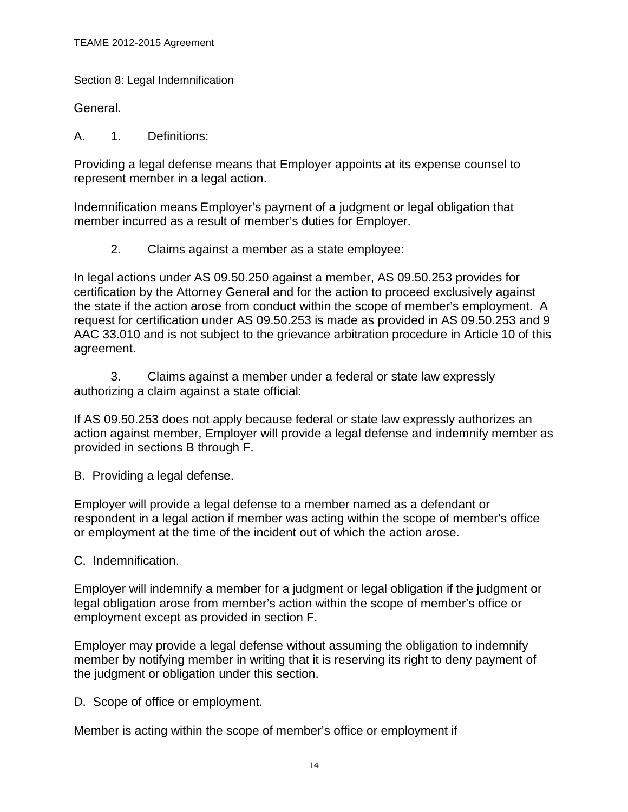<span id="page-13-0"></span>Section 8: Legal Indemnification

General.

A. 1. Definitions:

Providing a legal defense means that Employer appoints at its expense counsel to represent member in a legal action.

Indemnification means Employer's payment of a judgment or legal obligation that member incurred as a result of member's duties for Employer.

2. Claims against a member as a state employee:

In legal actions under AS 09.50.250 against a member, AS 09.50.253 provides for certification by the Attorney General and for the action to proceed exclusively against the state if the action arose from conduct within the scope of member's employment. A request for certification under AS 09.50.253 is made as provided in AS 09.50.253 and 9 AAC 33.010 and is not subject to the grievance arbitration procedure in Article 10 of this agreement.

3. Claims against a member under a federal or state law expressly authorizing a claim against a state official:

If AS 09.50.253 does not apply because federal or state law expressly authorizes an action against member, Employer will provide a legal defense and indemnify member as provided in sections B through F.

B. Providing a legal defense.

Employer will provide a legal defense to a member named as a defendant or respondent in a legal action if member was acting within the scope of member's office or employment at the time of the incident out of which the action arose.

C. Indemnification.

Employer will indemnify a member for a judgment or legal obligation if the judgment or legal obligation arose from member's action within the scope of member's office or employment except as provided in section F.

Employer may provide a legal defense without assuming the obligation to indemnify member by notifying member in writing that it is reserving its right to deny payment of the judgment or obligation under this section.

D. Scope of office or employment.

Member is acting within the scope of member's office or employment if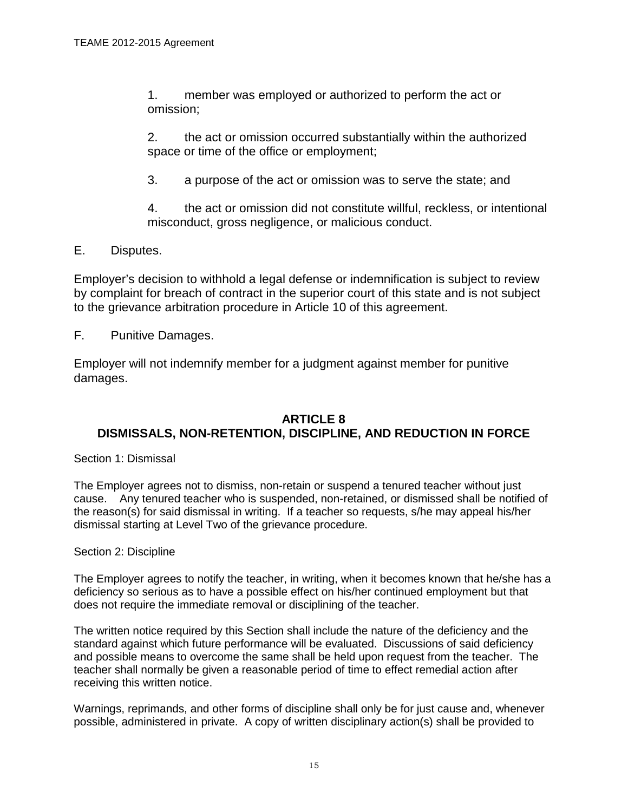1. member was employed or authorized to perform the act or omission;

2. the act or omission occurred substantially within the authorized space or time of the office or employment;

3. a purpose of the act or omission was to serve the state; and

4. the act or omission did not constitute willful, reckless, or intentional misconduct, gross negligence, or malicious conduct.

E. Disputes.

Employer's decision to withhold a legal defense or indemnification is subject to review by complaint for breach of contract in the superior court of this state and is not subject to the grievance arbitration procedure in Article 10 of this agreement.

F. Punitive Damages.

Employer will not indemnify member for a judgment against member for punitive damages.

## <span id="page-14-0"></span>**ARTICLE 8 DISMISSALS, NON-RETENTION, DISCIPLINE, AND REDUCTION IN FORCE**

<span id="page-14-2"></span><span id="page-14-1"></span>Section 1: Dismissal

The Employer agrees not to dismiss, non-retain or suspend a tenured teacher without just cause. Any tenured teacher who is suspended, non-retained, or dismissed shall be notified of the reason(s) for said dismissal in writing. If a teacher so requests, s/he may appeal his/her dismissal starting at Level Two of the grievance procedure.

## <span id="page-14-3"></span>Section 2: Discipline

The Employer agrees to notify the teacher, in writing, when it becomes known that he/she has a deficiency so serious as to have a possible effect on his/her continued employment but that does not require the immediate removal or disciplining of the teacher.

The written notice required by this Section shall include the nature of the deficiency and the standard against which future performance will be evaluated. Discussions of said deficiency and possible means to overcome the same shall be held upon request from the teacher. The teacher shall normally be given a reasonable period of time to effect remedial action after receiving this written notice.

Warnings, reprimands, and other forms of discipline shall only be for just cause and, whenever possible, administered in private. A copy of written disciplinary action(s) shall be provided to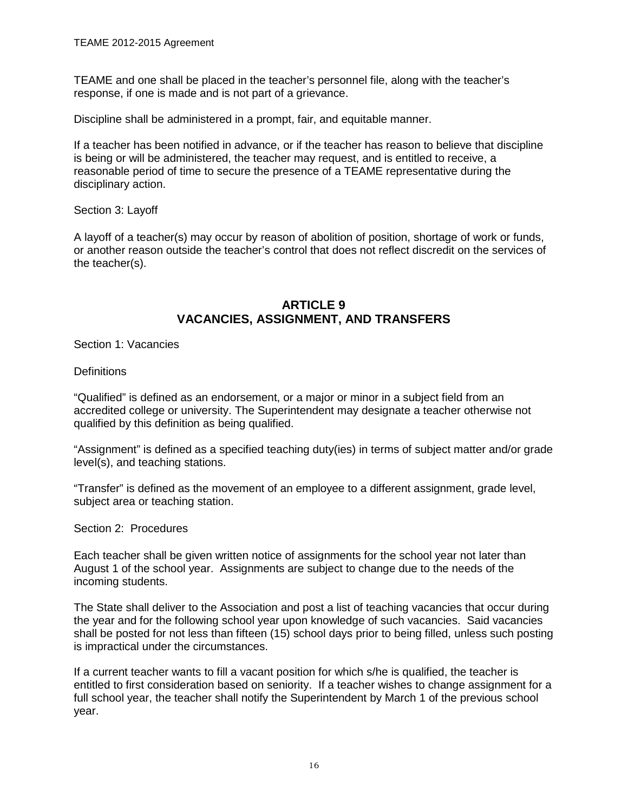TEAME and one shall be placed in the teacher's personnel file, along with the teacher's response, if one is made and is not part of a grievance.

Discipline shall be administered in a prompt, fair, and equitable manner.

If a teacher has been notified in advance, or if the teacher has reason to believe that discipline is being or will be administered, the teacher may request, and is entitled to receive, a reasonable period of time to secure the presence of a TEAME representative during the disciplinary action.

<span id="page-15-0"></span>Section 3: Layoff

A layoff of a teacher(s) may occur by reason of abolition of position, shortage of work or funds, or another reason outside the teacher's control that does not reflect discredit on the services of the teacher(s).

## **ARTICLE 9 VACANCIES, ASSIGNMENT, AND TRANSFERS**

<span id="page-15-3"></span><span id="page-15-2"></span><span id="page-15-1"></span>Section 1: Vacancies

**Definitions** 

"Qualified" is defined as an endorsement, or a major or minor in a subject field from an accredited college or university. The Superintendent may designate a teacher otherwise not qualified by this definition as being qualified.

"Assignment" is defined as a specified teaching duty(ies) in terms of subject matter and/or grade level(s), and teaching stations.

"Transfer" is defined as the movement of an employee to a different assignment, grade level, subject area or teaching station.

<span id="page-15-4"></span>Section 2: Procedures

Each teacher shall be given written notice of assignments for the school year not later than August 1 of the school year. Assignments are subject to change due to the needs of the incoming students.

The State shall deliver to the Association and post a list of teaching vacancies that occur during the year and for the following school year upon knowledge of such vacancies. Said vacancies shall be posted for not less than fifteen (15) school days prior to being filled, unless such posting is impractical under the circumstances.

If a current teacher wants to fill a vacant position for which s/he is qualified, the teacher is entitled to first consideration based on seniority. If a teacher wishes to change assignment for a full school year, the teacher shall notify the Superintendent by March 1 of the previous school year.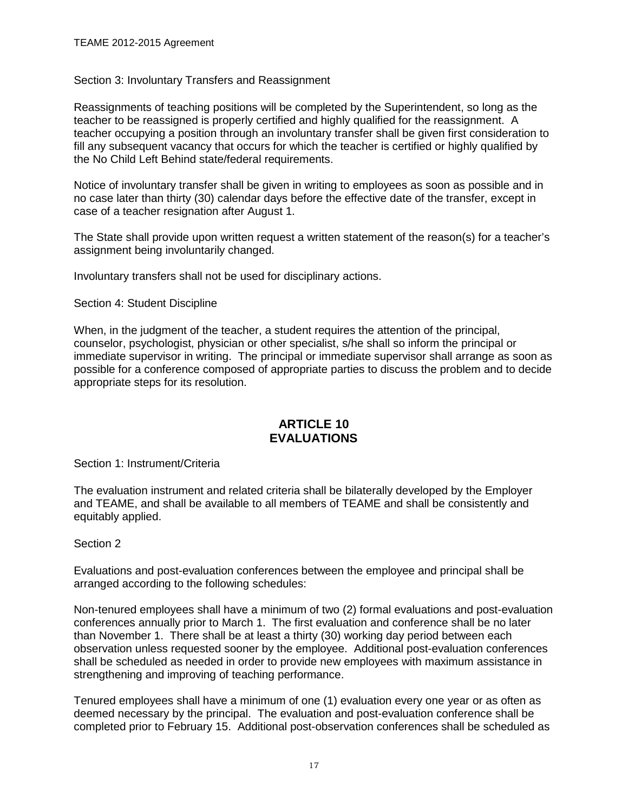#### <span id="page-16-0"></span>Section 3: Involuntary Transfers and Reassignment

Reassignments of teaching positions will be completed by the Superintendent, so long as the teacher to be reassigned is properly certified and highly qualified for the reassignment. A teacher occupying a position through an involuntary transfer shall be given first consideration to fill any subsequent vacancy that occurs for which the teacher is certified or highly qualified by the No Child Left Behind state/federal requirements.

Notice of involuntary transfer shall be given in writing to employees as soon as possible and in no case later than thirty (30) calendar days before the effective date of the transfer, except in case of a teacher resignation after August 1.

The State shall provide upon written request a written statement of the reason(s) for a teacher's assignment being involuntarily changed.

Involuntary transfers shall not be used for disciplinary actions.

<span id="page-16-1"></span>Section 4: Student Discipline

When, in the judgment of the teacher, a student requires the attention of the principal, counselor, psychologist, physician or other specialist, s/he shall so inform the principal or immediate supervisor in writing. The principal or immediate supervisor shall arrange as soon as possible for a conference composed of appropriate parties to discuss the problem and to decide appropriate steps for its resolution.

## **ARTICLE 10 EVALUATIONS**

<span id="page-16-4"></span><span id="page-16-3"></span><span id="page-16-2"></span>Section 1: Instrument/Criteria

The evaluation instrument and related criteria shall be bilaterally developed by the Employer and TEAME, and shall be available to all members of TEAME and shall be consistently and equitably applied.

#### <span id="page-16-5"></span>Section 2

Evaluations and post-evaluation conferences between the employee and principal shall be arranged according to the following schedules:

Non-tenured employees shall have a minimum of two (2) formal evaluations and post-evaluation conferences annually prior to March 1. The first evaluation and conference shall be no later than November 1. There shall be at least a thirty (30) working day period between each observation unless requested sooner by the employee. Additional post-evaluation conferences shall be scheduled as needed in order to provide new employees with maximum assistance in strengthening and improving of teaching performance.

Tenured employees shall have a minimum of one (1) evaluation every one year or as often as deemed necessary by the principal. The evaluation and post-evaluation conference shall be completed prior to February 15. Additional post-observation conferences shall be scheduled as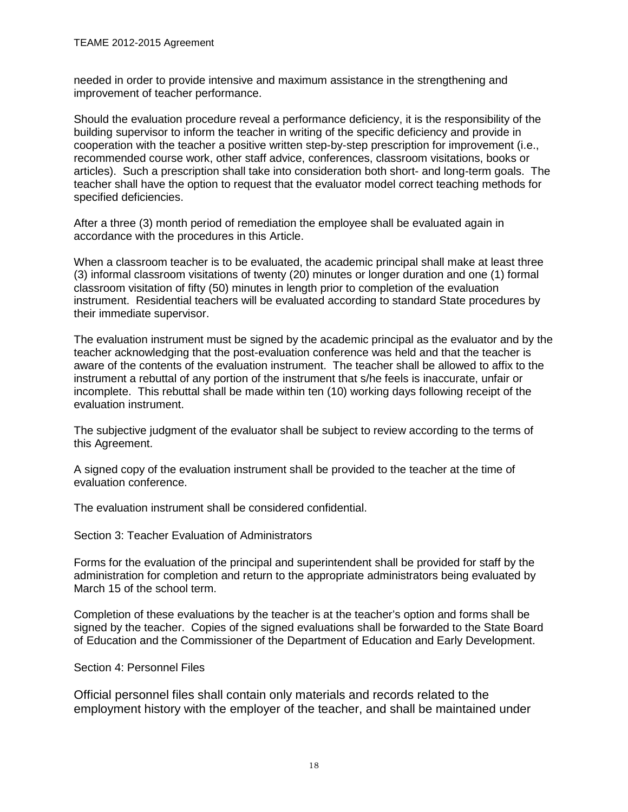needed in order to provide intensive and maximum assistance in the strengthening and improvement of teacher performance.

Should the evaluation procedure reveal a performance deficiency, it is the responsibility of the building supervisor to inform the teacher in writing of the specific deficiency and provide in cooperation with the teacher a positive written step-by-step prescription for improvement (i.e., recommended course work, other staff advice, conferences, classroom visitations, books or articles). Such a prescription shall take into consideration both short- and long-term goals. The teacher shall have the option to request that the evaluator model correct teaching methods for specified deficiencies.

After a three (3) month period of remediation the employee shall be evaluated again in accordance with the procedures in this Article.

When a classroom teacher is to be evaluated, the academic principal shall make at least three (3) informal classroom visitations of twenty (20) minutes or longer duration and one (1) formal classroom visitation of fifty (50) minutes in length prior to completion of the evaluation instrument. Residential teachers will be evaluated according to standard State procedures by their immediate supervisor.

The evaluation instrument must be signed by the academic principal as the evaluator and by the teacher acknowledging that the post-evaluation conference was held and that the teacher is aware of the contents of the evaluation instrument. The teacher shall be allowed to affix to the instrument a rebuttal of any portion of the instrument that s/he feels is inaccurate, unfair or incomplete. This rebuttal shall be made within ten (10) working days following receipt of the evaluation instrument.

The subjective judgment of the evaluator shall be subject to review according to the terms of this Agreement.

A signed copy of the evaluation instrument shall be provided to the teacher at the time of evaluation conference.

The evaluation instrument shall be considered confidential.

<span id="page-17-0"></span>Section 3: Teacher Evaluation of Administrators

Forms for the evaluation of the principal and superintendent shall be provided for staff by the administration for completion and return to the appropriate administrators being evaluated by March 15 of the school term.

Completion of these evaluations by the teacher is at the teacher's option and forms shall be signed by the teacher. Copies of the signed evaluations shall be forwarded to the State Board of Education and the Commissioner of the Department of Education and Early Development.

<span id="page-17-1"></span>Section 4: Personnel Files

Official personnel files shall contain only materials and records related to the employment history with the employer of the teacher, and shall be maintained under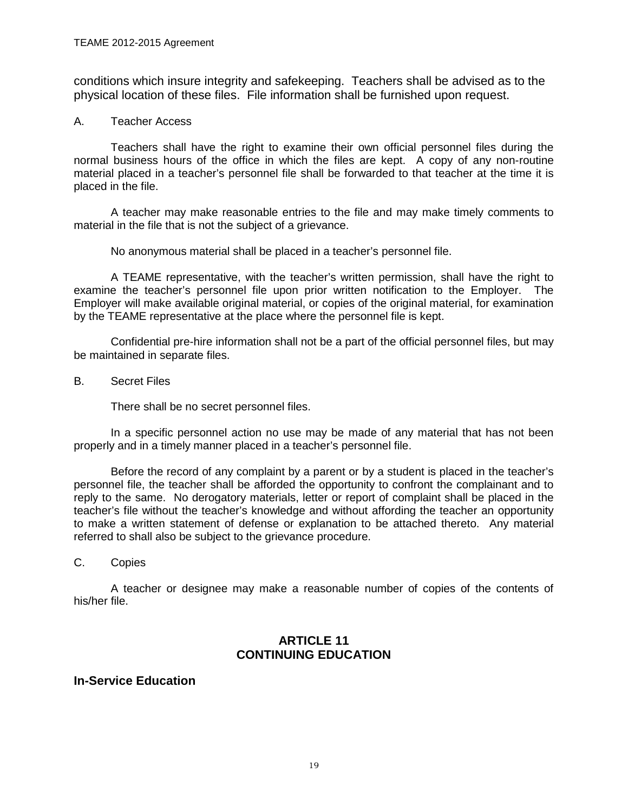conditions which insure integrity and safekeeping. Teachers shall be advised as to the physical location of these files. File information shall be furnished upon request.

#### A. Teacher Access

Teachers shall have the right to examine their own official personnel files during the normal business hours of the office in which the files are kept. A copy of any non-routine material placed in a teacher's personnel file shall be forwarded to that teacher at the time it is placed in the file.

A teacher may make reasonable entries to the file and may make timely comments to material in the file that is not the subject of a grievance.

No anonymous material shall be placed in a teacher's personnel file.

A TEAME representative, with the teacher's written permission, shall have the right to examine the teacher's personnel file upon prior written notification to the Employer. The Employer will make available original material, or copies of the original material, for examination by the TEAME representative at the place where the personnel file is kept.

Confidential pre-hire information shall not be a part of the official personnel files, but may be maintained in separate files.

B. Secret Files

There shall be no secret personnel files.

In a specific personnel action no use may be made of any material that has not been properly and in a timely manner placed in a teacher's personnel file.

Before the record of any complaint by a parent or by a student is placed in the teacher's personnel file, the teacher shall be afforded the opportunity to confront the complainant and to reply to the same. No derogatory materials, letter or report of complaint shall be placed in the teacher's file without the teacher's knowledge and without affording the teacher an opportunity to make a written statement of defense or explanation to be attached thereto. Any material referred to shall also be subject to the grievance procedure.

C. Copies

A teacher or designee may make a reasonable number of copies of the contents of his/her file.

## **ARTICLE 11 CONTINUING EDUCATION**

## <span id="page-18-1"></span><span id="page-18-0"></span>**In-Service Education**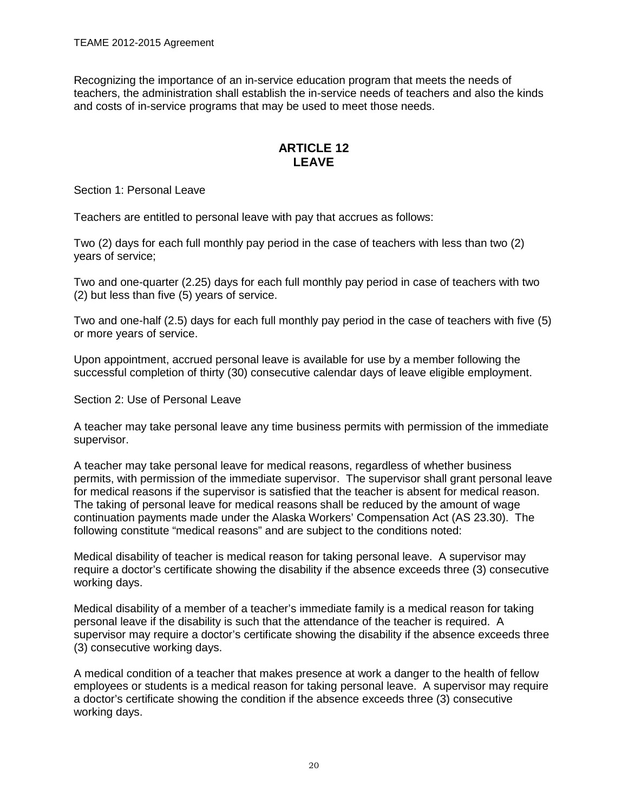Recognizing the importance of an in-service education program that meets the needs of teachers, the administration shall establish the in-service needs of teachers and also the kinds and costs of in-service programs that may be used to meet those needs.

## **ARTICLE 12 LEAVE**

<span id="page-19-2"></span><span id="page-19-1"></span><span id="page-19-0"></span>Section 1: Personal Leave

Teachers are entitled to personal leave with pay that accrues as follows:

Two (2) days for each full monthly pay period in the case of teachers with less than two (2) years of service;

Two and one-quarter (2.25) days for each full monthly pay period in case of teachers with two (2) but less than five (5) years of service.

Two and one-half (2.5) days for each full monthly pay period in the case of teachers with five (5) or more years of service.

Upon appointment, accrued personal leave is available for use by a member following the successful completion of thirty (30) consecutive calendar days of leave eligible employment.

<span id="page-19-3"></span>Section 2: Use of Personal Leave

A teacher may take personal leave any time business permits with permission of the immediate supervisor.

A teacher may take personal leave for medical reasons, regardless of whether business permits, with permission of the immediate supervisor. The supervisor shall grant personal leave for medical reasons if the supervisor is satisfied that the teacher is absent for medical reason. The taking of personal leave for medical reasons shall be reduced by the amount of wage continuation payments made under the Alaska Workers' Compensation Act (AS 23.30). The following constitute "medical reasons" and are subject to the conditions noted:

Medical disability of teacher is medical reason for taking personal leave. A supervisor may require a doctor's certificate showing the disability if the absence exceeds three (3) consecutive working days.

Medical disability of a member of a teacher's immediate family is a medical reason for taking personal leave if the disability is such that the attendance of the teacher is required. A supervisor may require a doctor's certificate showing the disability if the absence exceeds three (3) consecutive working days.

A medical condition of a teacher that makes presence at work a danger to the health of fellow employees or students is a medical reason for taking personal leave. A supervisor may require a doctor's certificate showing the condition if the absence exceeds three (3) consecutive working days.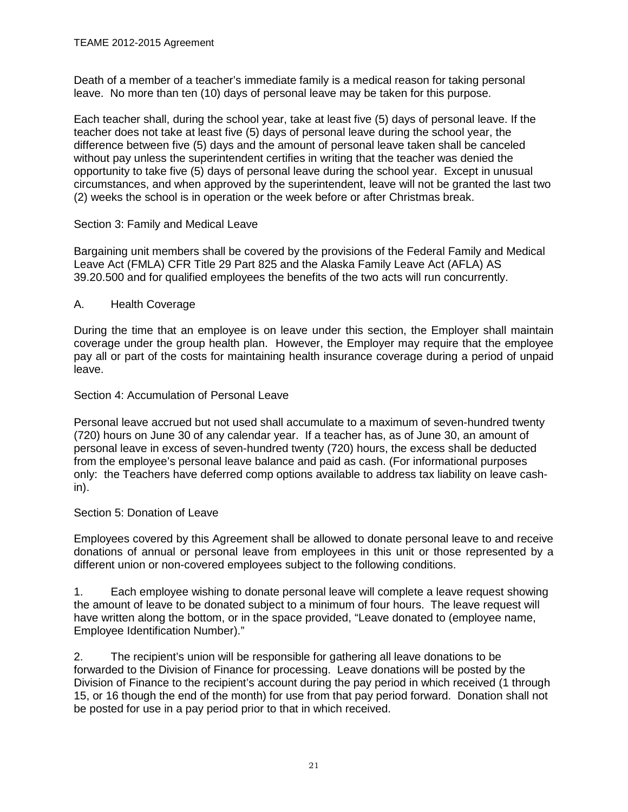Death of a member of a teacher's immediate family is a medical reason for taking personal leave. No more than ten (10) days of personal leave may be taken for this purpose.

Each teacher shall, during the school year, take at least five (5) days of personal leave. If the teacher does not take at least five (5) days of personal leave during the school year, the difference between five (5) days and the amount of personal leave taken shall be canceled without pay unless the superintendent certifies in writing that the teacher was denied the opportunity to take five (5) days of personal leave during the school year. Except in unusual circumstances, and when approved by the superintendent, leave will not be granted the last two (2) weeks the school is in operation or the week before or after Christmas break.

#### <span id="page-20-0"></span>Section 3: Family and Medical Leave

Bargaining unit members shall be covered by the provisions of the Federal Family and Medical Leave Act (FMLA) CFR Title 29 Part 825 and the Alaska Family Leave Act (AFLA) AS 39.20.500 and for qualified employees the benefits of the two acts will run concurrently.

## A. Health Coverage

During the time that an employee is on leave under this section, the Employer shall maintain coverage under the group health plan. However, the Employer may require that the employee pay all or part of the costs for maintaining health insurance coverage during a period of unpaid leave.

### <span id="page-20-1"></span>Section 4: Accumulation of Personal Leave

Personal leave accrued but not used shall accumulate to a maximum of seven-hundred twenty (720) hours on June 30 of any calendar year. If a teacher has, as of June 30, an amount of personal leave in excess of seven-hundred twenty (720) hours, the excess shall be deducted from the employee's personal leave balance and paid as cash. (For informational purposes only: the Teachers have deferred comp options available to address tax liability on leave cashin).

#### <span id="page-20-2"></span>Section 5: Donation of Leave

Employees covered by this Agreement shall be allowed to donate personal leave to and receive donations of annual or personal leave from employees in this unit or those represented by a different union or non-covered employees subject to the following conditions.

1. Each employee wishing to donate personal leave will complete a leave request showing the amount of leave to be donated subject to a minimum of four hours. The leave request will have written along the bottom, or in the space provided, "Leave donated to (employee name, Employee Identification Number)."

2. The recipient's union will be responsible for gathering all leave donations to be forwarded to the Division of Finance for processing. Leave donations will be posted by the Division of Finance to the recipient's account during the pay period in which received (1 through 15, or 16 though the end of the month) for use from that pay period forward. Donation shall not be posted for use in a pay period prior to that in which received.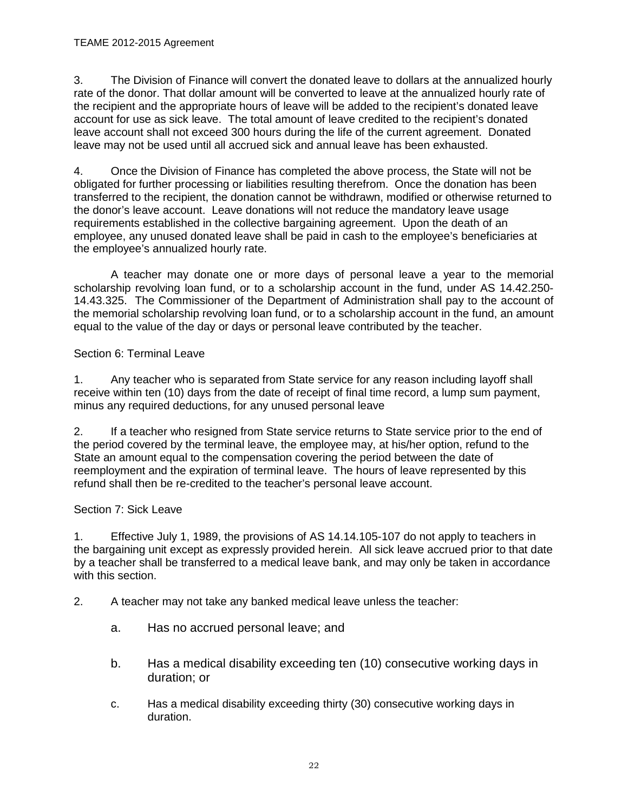3. The Division of Finance will convert the donated leave to dollars at the annualized hourly rate of the donor. That dollar amount will be converted to leave at the annualized hourly rate of the recipient and the appropriate hours of leave will be added to the recipient's donated leave account for use as sick leave. The total amount of leave credited to the recipient's donated leave account shall not exceed 300 hours during the life of the current agreement. Donated leave may not be used until all accrued sick and annual leave has been exhausted.

4. Once the Division of Finance has completed the above process, the State will not be obligated for further processing or liabilities resulting therefrom. Once the donation has been transferred to the recipient, the donation cannot be withdrawn, modified or otherwise returned to the donor's leave account. Leave donations will not reduce the mandatory leave usage requirements established in the collective bargaining agreement. Upon the death of an employee, any unused donated leave shall be paid in cash to the employee's beneficiaries at the employee's annualized hourly rate.

A teacher may donate one or more days of personal leave a year to the memorial scholarship revolving loan fund, or to a scholarship account in the fund, under AS 14.42.250- 14.43.325. The Commissioner of the Department of Administration shall pay to the account of the memorial scholarship revolving loan fund, or to a scholarship account in the fund, an amount equal to the value of the day or days or personal leave contributed by the teacher.

## <span id="page-21-0"></span>Section 6: Terminal Leave

1. Any teacher who is separated from State service for any reason including layoff shall receive within ten (10) days from the date of receipt of final time record, a lump sum payment, minus any required deductions, for any unused personal leave

2. If a teacher who resigned from State service returns to State service prior to the end of the period covered by the terminal leave, the employee may, at his/her option, refund to the State an amount equal to the compensation covering the period between the date of reemployment and the expiration of terminal leave. The hours of leave represented by this refund shall then be re-credited to the teacher's personal leave account.

## <span id="page-21-1"></span>Section 7: Sick Leave

1. Effective July 1, 1989, the provisions of AS 14.14.105-107 do not apply to teachers in the bargaining unit except as expressly provided herein. All sick leave accrued prior to that date by a teacher shall be transferred to a medical leave bank, and may only be taken in accordance with this section.

- 2. A teacher may not take any banked medical leave unless the teacher:
	- a. Has no accrued personal leave; and
	- b. Has a medical disability exceeding ten (10) consecutive working days in duration; or
	- c. Has a medical disability exceeding thirty (30) consecutive working days in duration.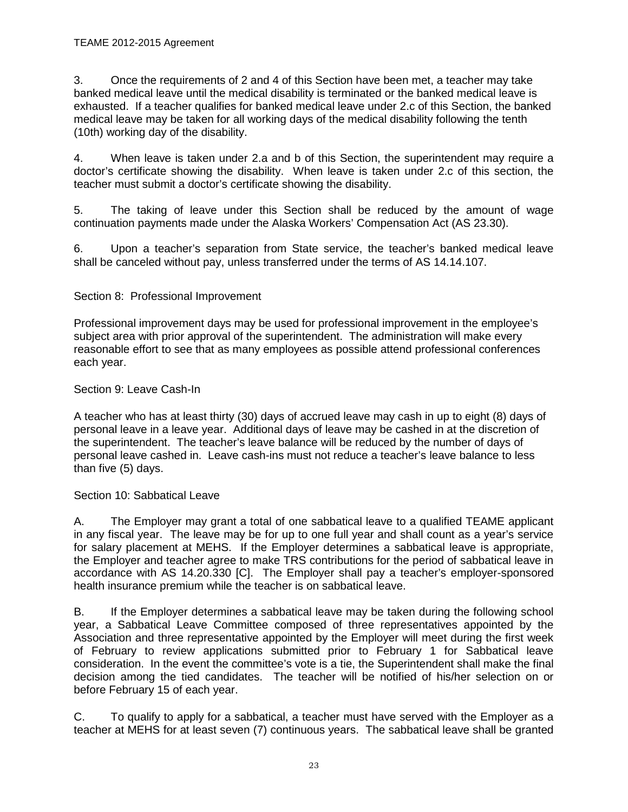3. Once the requirements of 2 and 4 of this Section have been met, a teacher may take banked medical leave until the medical disability is terminated or the banked medical leave is exhausted. If a teacher qualifies for banked medical leave under 2.c of this Section, the banked medical leave may be taken for all working days of the medical disability following the tenth (10th) working day of the disability.

4. When leave is taken under 2.a and b of this Section, the superintendent may require a doctor's certificate showing the disability. When leave is taken under 2.c of this section, the teacher must submit a doctor's certificate showing the disability.

5. The taking of leave under this Section shall be reduced by the amount of wage continuation payments made under the Alaska Workers' Compensation Act (AS 23.30).

6. Upon a teacher's separation from State service, the teacher's banked medical leave shall be canceled without pay, unless transferred under the terms of AS 14.14.107.

## <span id="page-22-0"></span>Section 8: Professional Improvement

Professional improvement days may be used for professional improvement in the employee's subject area with prior approval of the superintendent. The administration will make every reasonable effort to see that as many employees as possible attend professional conferences each year.

## <span id="page-22-1"></span>Section 9: Leave Cash-In

A teacher who has at least thirty (30) days of accrued leave may cash in up to eight (8) days of personal leave in a leave year. Additional days of leave may be cashed in at the discretion of the superintendent. The teacher's leave balance will be reduced by the number of days of personal leave cashed in. Leave cash-ins must not reduce a teacher's leave balance to less than five (5) days.

## <span id="page-22-2"></span>Section 10: Sabbatical Leave

A. The Employer may grant a total of one sabbatical leave to a qualified TEAME applicant in any fiscal year. The leave may be for up to one full year and shall count as a year's service for salary placement at MEHS. If the Employer determines a sabbatical leave is appropriate, the Employer and teacher agree to make TRS contributions for the period of sabbatical leave in accordance with AS 14.20.330 [C]. The Employer shall pay a teacher's employer-sponsored health insurance premium while the teacher is on sabbatical leave.

B. If the Employer determines a sabbatical leave may be taken during the following school year, a Sabbatical Leave Committee composed of three representatives appointed by the Association and three representative appointed by the Employer will meet during the first week of February to review applications submitted prior to February 1 for Sabbatical leave consideration. In the event the committee's vote is a tie, the Superintendent shall make the final decision among the tied candidates. The teacher will be notified of his/her selection on or before February 15 of each year.

C. To qualify to apply for a sabbatical, a teacher must have served with the Employer as a teacher at MEHS for at least seven (7) continuous years. The sabbatical leave shall be granted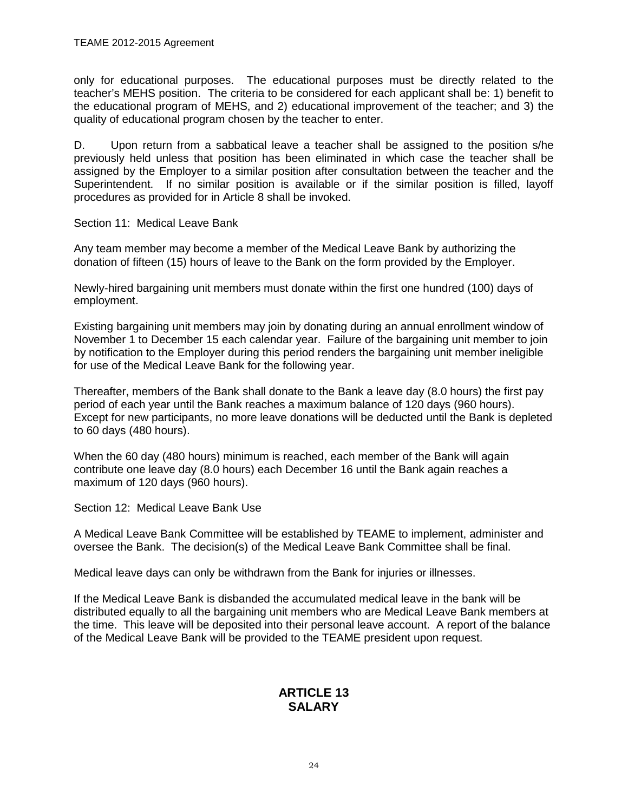only for educational purposes. The educational purposes must be directly related to the teacher's MEHS position. The criteria to be considered for each applicant shall be: 1) benefit to the educational program of MEHS, and 2) educational improvement of the teacher; and 3) the quality of educational program chosen by the teacher to enter.

D. Upon return from a sabbatical leave a teacher shall be assigned to the position s/he previously held unless that position has been eliminated in which case the teacher shall be assigned by the Employer to a similar position after consultation between the teacher and the Superintendent. If no similar position is available or if the similar position is filled, layoff procedures as provided for in Article 8 shall be invoked.

<span id="page-23-0"></span>Section 11: Medical Leave Bank

Any team member may become a member of the Medical Leave Bank by authorizing the donation of fifteen (15) hours of leave to the Bank on the form provided by the Employer.

Newly-hired bargaining unit members must donate within the first one hundred (100) days of employment.

Existing bargaining unit members may join by donating during an annual enrollment window of November 1 to December 15 each calendar year. Failure of the bargaining unit member to join by notification to the Employer during this period renders the bargaining unit member ineligible for use of the Medical Leave Bank for the following year.

Thereafter, members of the Bank shall donate to the Bank a leave day (8.0 hours) the first pay period of each year until the Bank reaches a maximum balance of 120 days (960 hours). Except for new participants, no more leave donations will be deducted until the Bank is depleted to 60 days (480 hours).

When the 60 day (480 hours) minimum is reached, each member of the Bank will again contribute one leave day (8.0 hours) each December 16 until the Bank again reaches a maximum of 120 days (960 hours).

<span id="page-23-1"></span>Section 12: Medical Leave Bank Use

A Medical Leave Bank Committee will be established by TEAME to implement, administer and oversee the Bank. The decision(s) of the Medical Leave Bank Committee shall be final.

Medical leave days can only be withdrawn from the Bank for injuries or illnesses.

<span id="page-23-3"></span><span id="page-23-2"></span>If the Medical Leave Bank is disbanded the accumulated medical leave in the bank will be distributed equally to all the bargaining unit members who are Medical Leave Bank members at the time. This leave will be deposited into their personal leave account. A report of the balance of the Medical Leave Bank will be provided to the TEAME president upon request.

## **ARTICLE 13 SALARY**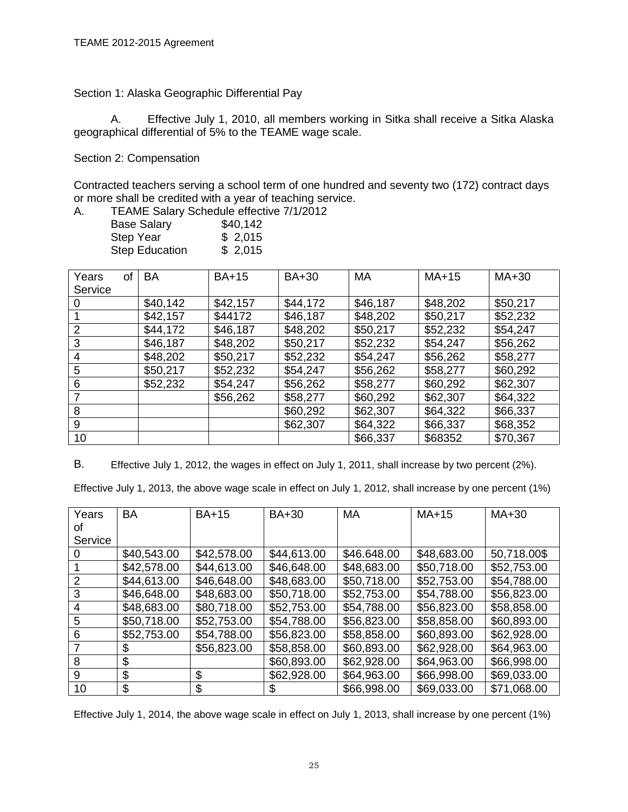<span id="page-24-0"></span>Section 1: Alaska Geographic Differential Pay

<span id="page-24-1"></span>A. Effective July 1, 2010, all members working in Sitka shall receive a Sitka Alaska geographical differential of 5% to the TEAME wage scale.

<span id="page-24-2"></span>Section 2: Compensation

Contracted teachers serving a school term of one hundred and seventy two (172) contract days or more shall be credited with a year of teaching service.

A. TEAME Salary Schedule effective 7/1/2012

| <b>Base Salary</b>    | \$40,142 |
|-----------------------|----------|
| <b>Step Year</b>      | \$2,015  |
| <b>Step Education</b> | \$2,015  |

| Years<br>οf<br>Service | <b>BA</b> | <b>BA+15</b> | <b>BA+30</b> | <b>MA</b> | $MA+15$  | $MA+30$  |
|------------------------|-----------|--------------|--------------|-----------|----------|----------|
| 0                      | \$40,142  | \$42,157     | \$44,172     | \$46,187  | \$48,202 | \$50,217 |
|                        | \$42,157  | \$44172      | \$46,187     | \$48,202  | \$50,217 | \$52,232 |
| $\overline{2}$         | \$44,172  | \$46,187     | \$48,202     | \$50,217  | \$52,232 | \$54,247 |
| 3                      | \$46,187  | \$48,202     | \$50,217     | \$52,232  | \$54,247 | \$56,262 |
| 4                      | \$48,202  | \$50,217     | \$52,232     | \$54,247  | \$56,262 | \$58,277 |
| 5                      | \$50,217  | \$52,232     | \$54,247     | \$56,262  | \$58,277 | \$60,292 |
| 6                      | \$52,232  | \$54,247     | \$56,262     | \$58,277  | \$60,292 | \$62,307 |
| 7                      |           | \$56,262     | \$58,277     | \$60,292  | \$62,307 | \$64,322 |
| 8                      |           |              | \$60,292     | \$62,307  | \$64,322 | \$66,337 |
| 9                      |           |              | \$62,307     | \$64,322  | \$66,337 | \$68,352 |
| 10                     |           |              |              | \$66,337  | \$68352  | \$70,367 |

<span id="page-24-3"></span>B. Effective July 1, 2012, the wages in effect on July 1, 2011, shall increase by two percent (2%).

Effective July 1, 2013, the above wage scale in effect on July 1, 2012, shall increase by one percent (1%)

| Years          | <b>BA</b>   | <b>BA+15</b> | <b>BA+30</b> | <b>MA</b>   | $MA+15$     | $MA+30$     |
|----------------|-------------|--------------|--------------|-------------|-------------|-------------|
| οf             |             |              |              |             |             |             |
| Service        |             |              |              |             |             |             |
|                | \$40,543.00 | \$42,578.00  | \$44,613.00  | \$46.648.00 | \$48,683.00 | 50,718.00\$ |
|                | \$42,578.00 | \$44,613.00  | \$46,648.00  | \$48,683.00 | \$50,718.00 | \$52,753.00 |
| $\overline{2}$ | \$44,613.00 | \$46,648.00  | \$48,683.00  | \$50,718.00 | \$52,753.00 | \$54,788.00 |
| 3              | \$46,648.00 | \$48,683.00  | \$50,718.00  | \$52,753.00 | \$54,788.00 | \$56,823.00 |
| 4              | \$48,683.00 | \$80,718.00  | \$52,753.00  | \$54,788.00 | \$56,823.00 | \$58,858.00 |
| 5              | \$50,718.00 | \$52,753.00  | \$54,788.00  | \$56,823.00 | \$58,858.00 | \$60,893.00 |
| 6              | \$52,753.00 | \$54,788.00  | \$56,823.00  | \$58,858.00 | \$60,893.00 | \$62,928.00 |
|                | \$          | \$56,823.00  | \$58,858.00  | \$60,893.00 | \$62,928.00 | \$64,963.00 |
| 8              | \$          |              | \$60,893.00  | \$62,928.00 | \$64,963.00 | \$66,998.00 |
| 9              | \$          | \$           | \$62,928.00  | \$64,963.00 | \$66,998.00 | \$69,033.00 |
| 10             | \$          | \$           | \$           | \$66,998.00 | \$69,033.00 | \$71,068.00 |

Effective July 1, 2014, the above wage scale in effect on July 1, 2013, shall increase by one percent (1%)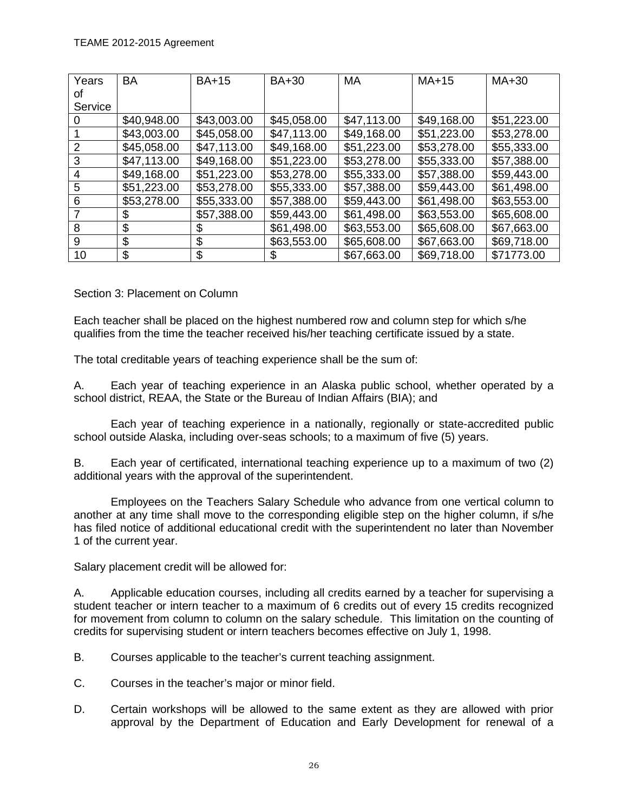| Years          | <b>BA</b>   | <b>BA+15</b> | <b>BA+30</b> | <b>MA</b>   | $MA+15$     | MA+30       |
|----------------|-------------|--------------|--------------|-------------|-------------|-------------|
| οt             |             |              |              |             |             |             |
| Service        |             |              |              |             |             |             |
| $\Omega$       | \$40,948.00 | \$43,003.00  | \$45,058.00  | \$47,113.00 | \$49,168.00 | \$51,223.00 |
|                | \$43,003.00 | \$45,058.00  | \$47,113.00  | \$49,168.00 | \$51,223.00 | \$53,278.00 |
| $\overline{2}$ | \$45,058.00 | \$47,113.00  | \$49,168.00  | \$51,223.00 | \$53,278.00 | \$55,333.00 |
| 3              | \$47,113.00 | \$49,168.00  | \$51,223.00  | \$53,278.00 | \$55,333.00 | \$57,388.00 |
| $\overline{4}$ | \$49,168.00 | \$51,223.00  | \$53,278.00  | \$55,333.00 | \$57,388.00 | \$59,443.00 |
| 5              | \$51,223.00 | \$53,278.00  | \$55,333.00  | \$57,388.00 | \$59,443.00 | \$61,498.00 |
| 6              | \$53,278.00 | \$55,333.00  | \$57,388.00  | \$59,443.00 | \$61,498.00 | \$63,553.00 |
| 7              | \$          | \$57,388.00  | \$59,443.00  | \$61,498.00 | \$63,553.00 | \$65,608.00 |
| 8              | \$          | \$           | \$61,498.00  | \$63,553.00 | \$65,608.00 | \$67,663.00 |
| 9              | \$          | \$           | \$63,553.00  | \$65,608.00 | \$67,663.00 | \$69,718.00 |
| 10             | \$          | \$           | S            | \$67,663.00 | \$69,718.00 | \$71773.00  |

<span id="page-25-0"></span>Section 3: Placement on Column

Each teacher shall be placed on the highest numbered row and column step for which s/he qualifies from the time the teacher received his/her teaching certificate issued by a state.

The total creditable years of teaching experience shall be the sum of:

A. Each year of teaching experience in an Alaska public school, whether operated by a school district, REAA, the State or the Bureau of Indian Affairs (BIA); and

Each year of teaching experience in a nationally, regionally or state-accredited public school outside Alaska, including over-seas schools; to a maximum of five (5) years.

B. Each year of certificated, international teaching experience up to a maximum of two (2) additional years with the approval of the superintendent.

Employees on the Teachers Salary Schedule who advance from one vertical column to another at any time shall move to the corresponding eligible step on the higher column, if s/he has filed notice of additional educational credit with the superintendent no later than November 1 of the current year.

Salary placement credit will be allowed for:

A. Applicable education courses, including all credits earned by a teacher for supervising a student teacher or intern teacher to a maximum of 6 credits out of every 15 credits recognized for movement from column to column on the salary schedule. This limitation on the counting of credits for supervising student or intern teachers becomes effective on July 1, 1998.

B. Courses applicable to the teacher's current teaching assignment.

- C. Courses in the teacher's major or minor field.
- D. Certain workshops will be allowed to the same extent as they are allowed with prior approval by the Department of Education and Early Development for renewal of a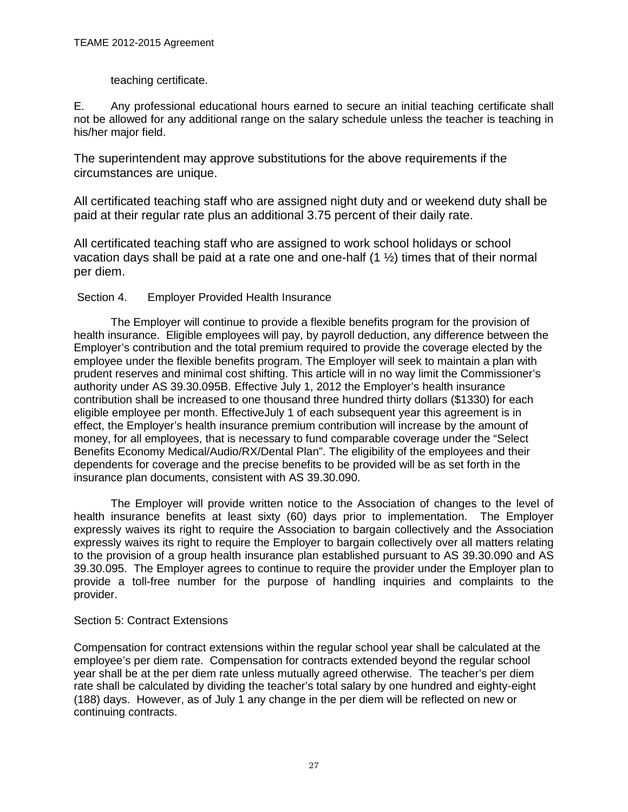## teaching certificate.

E. Any professional educational hours earned to secure an initial teaching certificate shall not be allowed for any additional range on the salary schedule unless the teacher is teaching in his/her major field.

The superintendent may approve substitutions for the above requirements if the circumstances are unique.

All certificated teaching staff who are assigned night duty and or weekend duty shall be paid at their regular rate plus an additional 3.75 percent of their daily rate.

All certificated teaching staff who are assigned to work school holidays or school vacation days shall be paid at a rate one and one-half  $(1 \frac{1}{2})$  times that of their normal per diem.

## Section 4. Employer Provided Health Insurance

The Employer will continue to provide a flexible benefits program for the provision of health insurance. Eligible employees will pay, by payroll deduction, any difference between the Employer's contribution and the total premium required to provide the coverage elected by the employee under the flexible benefits program. The Employer will seek to maintain a plan with prudent reserves and minimal cost shifting. This article will in no way limit the Commissioner's authority under AS 39.30.095B. Effective July 1, 2012 the Employer's health insurance contribution shall be increased to one thousand three hundred thirty dollars (\$1330) for each eligible employee per month. EffectiveJuly 1 of each subsequent year this agreement is in effect, the Employer's health insurance premium contribution will increase by the amount of money, for all employees, that is necessary to fund comparable coverage under the "Select Benefits Economy Medical/Audio/RX/Dental Plan". The eligibility of the employees and their dependents for coverage and the precise benefits to be provided will be as set forth in the insurance plan documents, consistent with AS 39.30.090.

The Employer will provide written notice to the Association of changes to the level of health insurance benefits at least sixty (60) days prior to implementation. The Employer expressly waives its right to require the Association to bargain collectively and the Association expressly waives its right to require the Employer to bargain collectively over all matters relating to the provision of a group health insurance plan established pursuant to AS 39.30.090 and AS 39.30.095. The Employer agrees to continue to require the provider under the Employer plan to provide a toll-free number for the purpose of handling inquiries and complaints to the provider.

## <span id="page-26-0"></span>Section 5: Contract Extensions

<span id="page-26-1"></span>Compensation for contract extensions within the regular school year shall be calculated at the employee's per diem rate. Compensation for contracts extended beyond the regular school year shall be at the per diem rate unless mutually agreed otherwise. The teacher's per diem rate shall be calculated by dividing the teacher's total salary by one hundred and eighty-eight (188) days. However, as of July 1 any change in the per diem will be reflected on new or continuing contracts.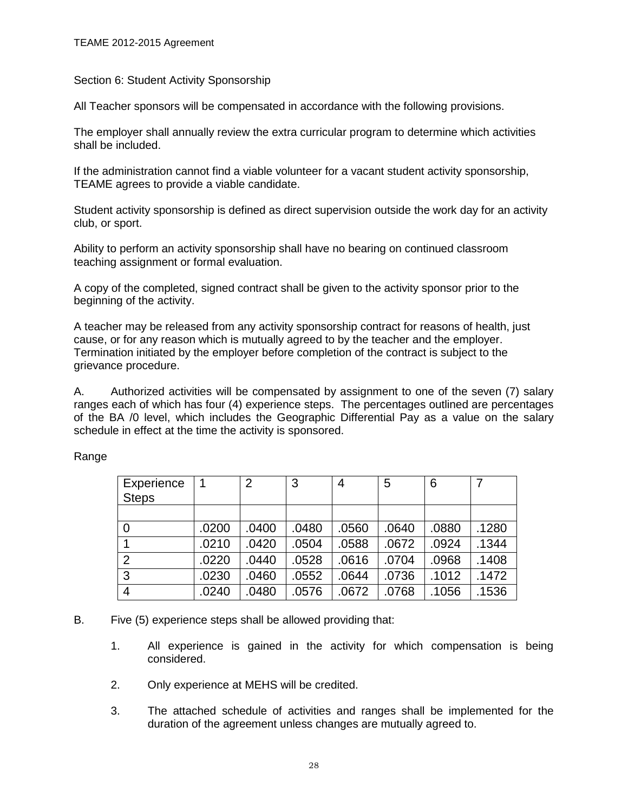Section 6: Student Activity Sponsorship

All Teacher sponsors will be compensated in accordance with the following provisions.

The employer shall annually review the extra curricular program to determine which activities shall be included.

If the administration cannot find a viable volunteer for a vacant student activity sponsorship, TEAME agrees to provide a viable candidate.

Student activity sponsorship is defined as direct supervision outside the work day for an activity club, or sport.

Ability to perform an activity sponsorship shall have no bearing on continued classroom teaching assignment or formal evaluation.

A copy of the completed, signed contract shall be given to the activity sponsor prior to the beginning of the activity.

A teacher may be released from any activity sponsorship contract for reasons of health, just cause, or for any reason which is mutually agreed to by the teacher and the employer. Termination initiated by the employer before completion of the contract is subject to the grievance procedure.

A. Authorized activities will be compensated by assignment to one of the seven (7) salary ranges each of which has four (4) experience steps. The percentages outlined are percentages of the BA /0 level, which includes the Geographic Differential Pay as a value on the salary schedule in effect at the time the activity is sponsored.

| Experience<br><b>Steps</b> |       | 2     | 3     | 4     | 5     | 6     |       |
|----------------------------|-------|-------|-------|-------|-------|-------|-------|
|                            |       |       |       |       |       |       |       |
| $\overline{0}$             | .0200 | .0400 | .0480 | .0560 | .0640 | .0880 | .1280 |
|                            | .0210 | .0420 | .0504 | .0588 | .0672 | .0924 | .1344 |
| 2                          | .0220 | .0440 | .0528 | .0616 | .0704 | .0968 | .1408 |
| 3                          | .0230 | .0460 | .0552 | .0644 | .0736 | .1012 | .1472 |
| $\overline{4}$             | .0240 | .0480 | .0576 | .0672 | .0768 | .1056 | .1536 |

Range

- B. Five (5) experience steps shall be allowed providing that:
	- 1. All experience is gained in the activity for which compensation is being considered.
	- 2. Only experience at MEHS will be credited.
	- 3. The attached schedule of activities and ranges shall be implemented for the duration of the agreement unless changes are mutually agreed to.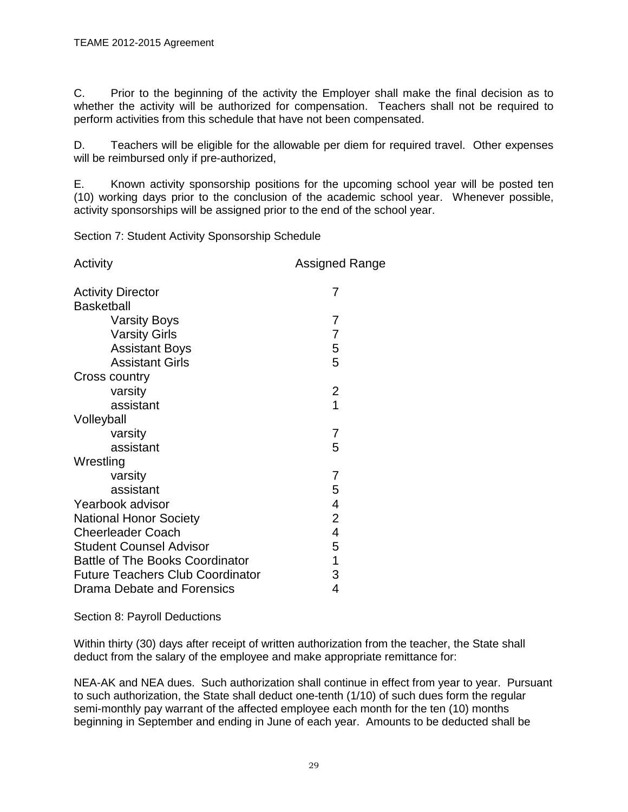C. Prior to the beginning of the activity the Employer shall make the final decision as to whether the activity will be authorized for compensation. Teachers shall not be required to perform activities from this schedule that have not been compensated.

D. Teachers will be eligible for the allowable per diem for required travel. Other expenses will be reimbursed only if pre-authorized,

E. Known activity sponsorship positions for the upcoming school year will be posted ten (10) working days prior to the conclusion of the academic school year. Whenever possible, activity sponsorships will be assigned prior to the end of the school year.

<span id="page-28-0"></span>Section 7: Student Activity Sponsorship Schedule

| Activity                                | Assigned Range |
|-----------------------------------------|----------------|
| <b>Activity Director</b>                | 7              |
| <b>Basketball</b>                       |                |
| <b>Varsity Boys</b>                     | 7              |
| <b>Varsity Girls</b>                    | 7              |
| <b>Assistant Boys</b>                   | 5              |
| <b>Assistant Girls</b>                  | 5              |
| Cross country                           |                |
| varsity                                 | 2              |
| assistant                               | 1              |
| Volleyball                              |                |
| varsity                                 | 7              |
| assistant                               | 5              |
| Wrestling                               |                |
| varsity                                 | 7              |
| assistant                               | 5              |
| Yearbook advisor                        | 4              |
| <b>National Honor Society</b>           | $\overline{2}$ |
| <b>Cheerleader Coach</b>                | 4              |
| <b>Student Counsel Advisor</b>          | 5              |
| <b>Battle of The Books Coordinator</b>  | 1              |
| <b>Future Teachers Club Coordinator</b> | 3              |
| Drama Debate and Forensics              | 4              |

<span id="page-28-1"></span>Section 8: Payroll Deductions

Within thirty (30) days after receipt of written authorization from the teacher, the State shall deduct from the salary of the employee and make appropriate remittance for:

NEA-AK and NEA dues. Such authorization shall continue in effect from year to year. Pursuant to such authorization, the State shall deduct one-tenth (1/10) of such dues form the regular semi-monthly pay warrant of the affected employee each month for the ten (10) months beginning in September and ending in June of each year. Amounts to be deducted shall be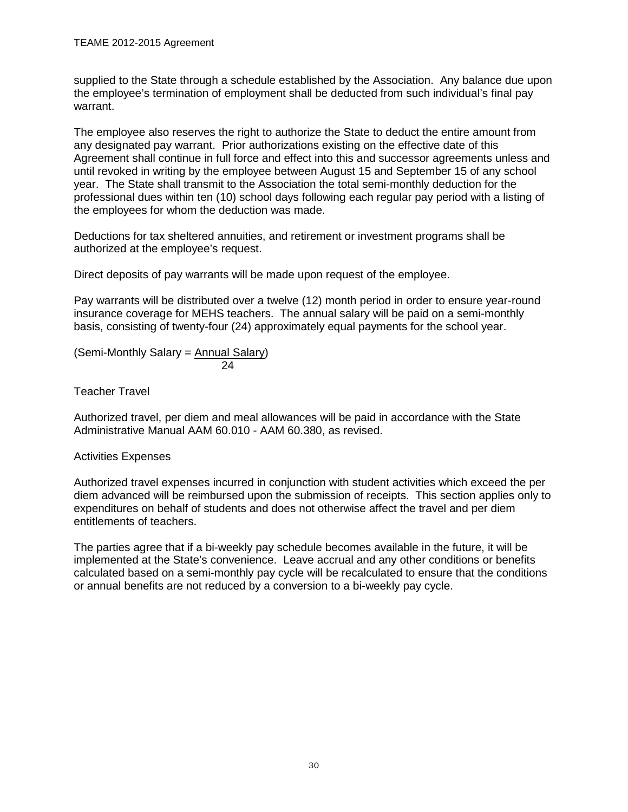supplied to the State through a schedule established by the Association. Any balance due upon the employee's termination of employment shall be deducted from such individual's final pay warrant.

The employee also reserves the right to authorize the State to deduct the entire amount from any designated pay warrant. Prior authorizations existing on the effective date of this Agreement shall continue in full force and effect into this and successor agreements unless and until revoked in writing by the employee between August 15 and September 15 of any school year. The State shall transmit to the Association the total semi-monthly deduction for the professional dues within ten (10) school days following each regular pay period with a listing of the employees for whom the deduction was made.

Deductions for tax sheltered annuities, and retirement or investment programs shall be authorized at the employee's request.

Direct deposits of pay warrants will be made upon request of the employee.

Pay warrants will be distributed over a twelve (12) month period in order to ensure year-round insurance coverage for MEHS teachers. The annual salary will be paid on a semi-monthly basis, consisting of twenty-four (24) approximately equal payments for the school year.

$$
(Semi-Monthly Salary = Annual Salary)
$$
  
24

Teacher Travel

Authorized travel, per diem and meal allowances will be paid in accordance with the State Administrative Manual AAM 60.010 - AAM 60.380, as revised.

## Activities Expenses

Authorized travel expenses incurred in conjunction with student activities which exceed the per diem advanced will be reimbursed upon the submission of receipts. This section applies only to expenditures on behalf of students and does not otherwise affect the travel and per diem entitlements of teachers.

<span id="page-29-0"></span>The parties agree that if a bi-weekly pay schedule becomes available in the future, it will be implemented at the State's convenience. Leave accrual and any other conditions or benefits calculated based on a semi-monthly pay cycle will be recalculated to ensure that the conditions or annual benefits are not reduced by a conversion to a bi-weekly pay cycle.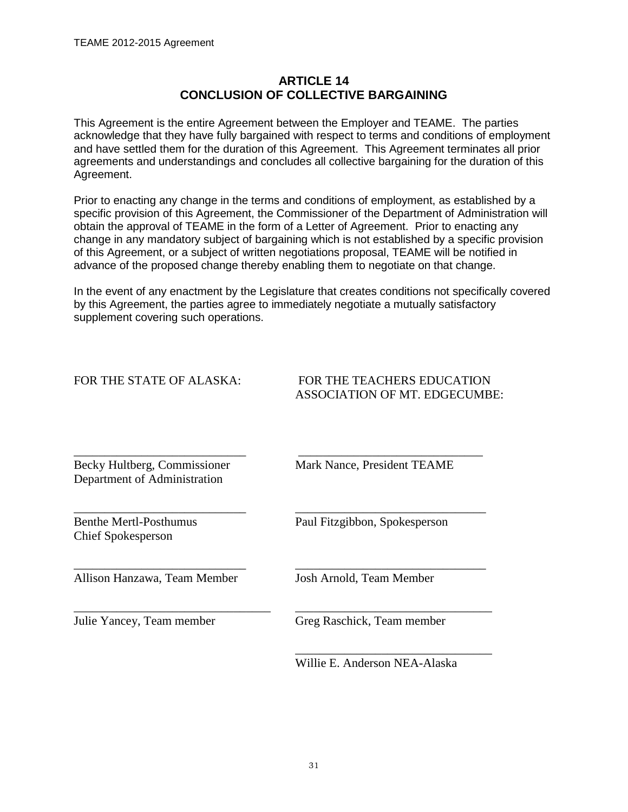## **ARTICLE 14 CONCLUSION OF COLLECTIVE BARGAINING**

<span id="page-30-0"></span>This Agreement is the entire Agreement between the Employer and TEAME. The parties acknowledge that they have fully bargained with respect to terms and conditions of employment and have settled them for the duration of this Agreement. This Agreement terminates all prior agreements and understandings and concludes all collective bargaining for the duration of this Agreement.

Prior to enacting any change in the terms and conditions of employment, as established by a specific provision of this Agreement, the Commissioner of the Department of Administration will obtain the approval of TEAME in the form of a Letter of Agreement. Prior to enacting any change in any mandatory subject of bargaining which is not established by a specific provision of this Agreement, or a subject of written negotiations proposal, TEAME will be notified in advance of the proposed change thereby enabling them to negotiate on that change.

In the event of any enactment by the Legislature that creates conditions not specifically covered by this Agreement, the parties agree to immediately negotiate a mutually satisfactory supplement covering such operations.

\_\_\_\_\_\_\_\_\_\_\_\_\_\_\_\_\_\_\_\_\_\_\_\_\_\_\_\_ \_\_\_\_\_\_\_\_\_\_\_\_\_\_\_\_\_\_\_\_\_\_\_\_\_\_\_\_\_\_\_

FOR THE TEACHERS EDUCATION ASSOCIATION OF MT. EDGECUMBE:

\_\_\_\_\_\_\_\_\_\_\_\_\_\_\_\_\_\_\_\_\_\_\_\_\_\_\_\_ \_\_\_\_\_\_\_\_\_\_\_\_\_\_\_\_\_\_\_\_\_\_\_\_\_\_\_\_\_\_ Becky Hultberg, Commissioner Mark Nance, President TEAME Department of Administration

Benthe Mertl-Posthumus Paul Fitzgibbon, Spokesperson Chief Spokesperson

\_\_\_\_\_\_\_\_\_\_\_\_\_\_\_\_\_\_\_\_\_\_\_\_\_\_\_\_ \_\_\_\_\_\_\_\_\_\_\_\_\_\_\_\_\_\_\_\_\_\_\_\_\_\_\_\_\_\_\_ Allison Hanzawa, Team Member Josh Arnold, Team Member

\_\_\_\_\_\_\_\_\_\_\_\_\_\_\_\_\_\_\_\_\_\_\_\_\_\_\_\_\_\_\_\_ \_\_\_\_\_\_\_\_\_\_\_\_\_\_\_\_\_\_\_\_\_\_\_\_\_\_\_\_\_\_\_\_ Julie Yancey, Team member Greg Raschick, Team member

Willie E. Anderson NEA-Alaska

\_\_\_\_\_\_\_\_\_\_\_\_\_\_\_\_\_\_\_\_\_\_\_\_\_\_\_\_\_\_\_\_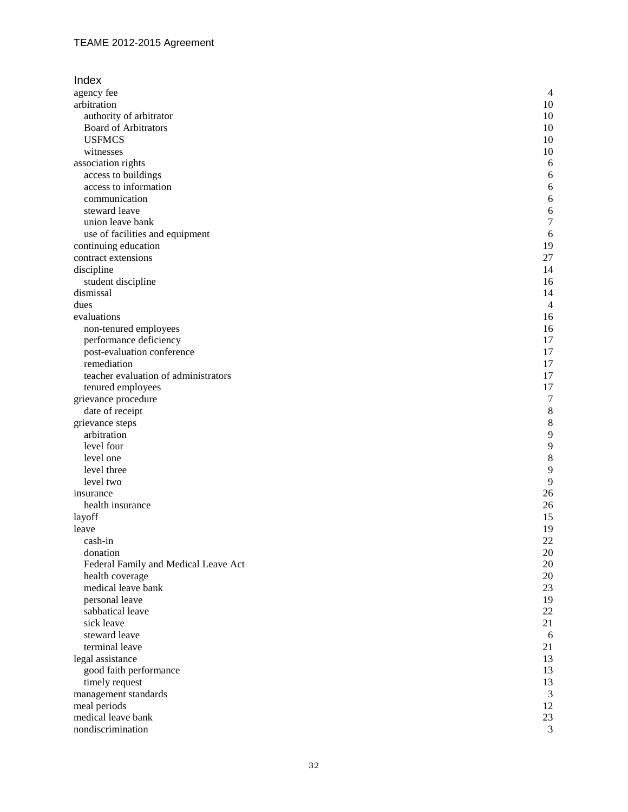| Index                                |                |
|--------------------------------------|----------------|
| agency fee                           | $\overline{4}$ |
| arbitration                          | 10             |
| authority of arbitrator              | 10             |
| <b>Board of Arbitrators</b>          | 10             |
| <b>USFMCS</b>                        | 10             |
| witnesses                            | 10             |
| association rights                   | 6              |
| access to buildings                  | 6              |
| access to information                | 6              |
| communication                        | 6              |
| steward leave                        | 6              |
| union leave bank                     | $\overline{7}$ |
| use of facilities and equipment      | 6              |
| continuing education                 | 19             |
| contract extensions                  | 27             |
| discipline                           | 14             |
| student discipline                   | 16             |
| dismissal                            | 14             |
| dues                                 | $\overline{4}$ |
| evaluations                          | 16             |
| non-tenured employees                | 16             |
| performance deficiency               | 17             |
| post-evaluation conference           | 17             |
| remediation                          | 17             |
| teacher evaluation of administrators | 17             |
| tenured employees                    | 17             |
| grievance procedure                  | $\sqrt{ }$     |
| date of receipt                      | $\,$ 8 $\,$    |
| grievance steps                      | 8              |
| arbitration                          | 9              |
| level four                           | 9              |
| level one                            | 8              |
| level three                          | 9              |
| level two                            | 9              |
| insurance                            | 26             |
| health insurance                     | 26             |
| layoff                               | 15             |
| leave                                | 19             |
| cash-in                              | 22             |
| donation                             | 20             |
| Federal Family and Medical Leave Act | 20             |
| health coverage                      | 20             |
| medical leave bank                   | 23             |
| personal leave                       | 19             |
| sabbatical leave                     | 22             |
| sick leave                           | 21             |
| steward leave<br>terminal leave      | 6              |
|                                      | 21             |
| legal assistance                     | 13             |
| good faith performance               | 13             |
| timely request                       | 13             |
| management standards                 | 3              |
| meal periods<br>medical leave bank   | 12<br>23       |
| nondiscrimination                    | 3              |
|                                      |                |